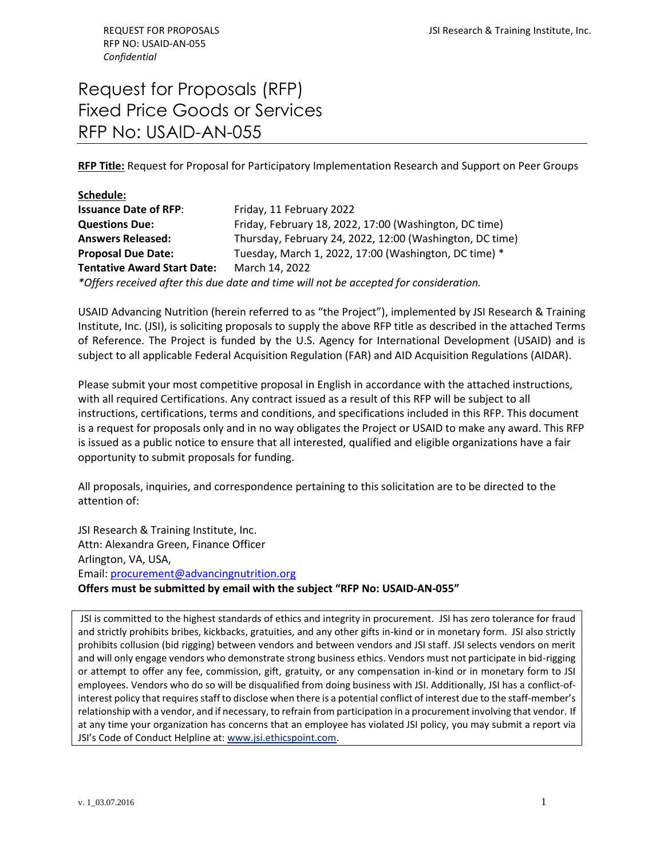# Request for Proposals (RFP) Fixed Price Goods or Services RFP No: USAID-AN-055

**RFP Title:** Request for Proposal for Participatory Implementation Research and Support on Peer Groups

| Schedule:                          |                                                                                       |
|------------------------------------|---------------------------------------------------------------------------------------|
| <b>Issuance Date of RFP:</b>       | Friday, 11 February 2022                                                              |
| <b>Questions Due:</b>              | Friday, February 18, 2022, 17:00 (Washington, DC time)                                |
| <b>Answers Released:</b>           | Thursday, February 24, 2022, 12:00 (Washington, DC time)                              |
| <b>Proposal Due Date:</b>          | Tuesday, March 1, 2022, 17:00 (Washington, DC time) *                                 |
| <b>Tentative Award Start Date:</b> | March 14, 2022                                                                        |
|                                    | *Offers received after this due date and time will not be accepted for consideration. |

USAID Advancing Nutrition (herein referred to as "the Project"), implemented by JSI Research & Training Institute, Inc. (JSI), is soliciting proposals to supply the above RFP title as described in the attached Terms of Reference. The Project is funded by the U.S. Agency for International Development (USAID) and is subject to all applicable Federal Acquisition Regulation (FAR) and AID Acquisition Regulations (AIDAR).

Please submit your most competitive proposal in English in accordance with the attached instructions, with all required Certifications. Any contract issued as a result of this RFP will be subject to all instructions, certifications, terms and conditions, and specifications included in this RFP. This document is a request for proposals only and in no way obligates the Project or USAID to make any award. This RFP is issued as a public notice to ensure that all interested, qualified and eligible organizations have a fair opportunity to submit proposals for funding.

All proposals, inquiries, and correspondence pertaining to this solicitation are to be directed to the attention of:

JSI Research & Training Institute, Inc. Attn: Alexandra Green, Finance Officer Arlington, VA, USA, Email: [procurement@advancingnutrition.org](mailto:procurement@advancingnutrition.org) **Offers must be submitted by email with the subject "RFP No: USAID-AN-055"**

JSI is committed to the highest standards of ethics and integrity in procurement. JSI has zero tolerance for fraud and strictly prohibits bribes, kickbacks, gratuities, and any other gifts in-kind or in monetary form. JSI also strictly prohibits collusion (bid rigging) between vendors and between vendors and JSI staff. JSI selects vendors on merit and will only engage vendors who demonstrate strong business ethics. Vendors must not participate in bid-rigging or attempt to offer any fee, commission, gift, gratuity, or any compensation in-kind or in monetary form to JSI employees. Vendors who do so will be disqualified from doing business with JSI. Additionally, JSI has a conflict-ofinterest policy that requires staff to disclose when there is a potential conflict of interest due to the staff-member's relationship with a vendor, and if necessary, to refrain from participation in a procurement involving that vendor. If at any time your organization has concerns that an employee has violated JSI policy, you may submit a report via JSI's Code of Conduct Helpline at: [www.jsi.ethicspoint.com.](http://www.jsi.ethicspoint.com/)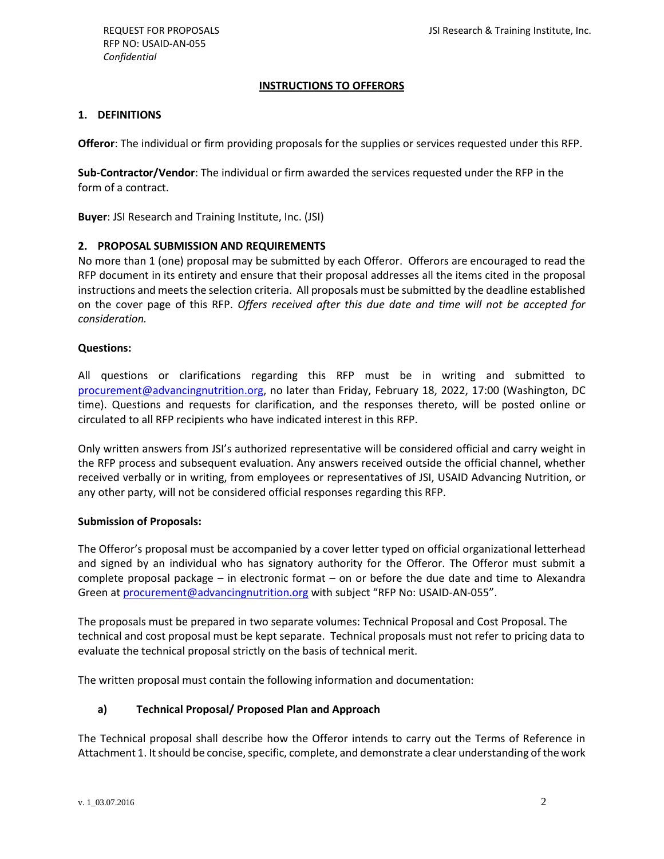## **INSTRUCTIONS TO OFFERORS**

### **1. DEFINITIONS**

**Offeror**: The individual or firm providing proposals for the supplies or services requested under this RFP.

**Sub-Contractor/Vendor**: The individual or firm awarded the services requested under the RFP in the form of a contract.

**Buyer**: JSI Research and Training Institute, Inc. (JSI)

### **2. PROPOSAL SUBMISSION AND REQUIREMENTS**

No more than 1 (one) proposal may be submitted by each Offeror. Offerors are encouraged to read the RFP document in its entirety and ensure that their proposal addresses all the items cited in the proposal instructions and meets the selection criteria. All proposals must be submitted by the deadline established on the cover page of this RFP. *Offers received after this due date and time will not be accepted for consideration.*

### **Questions:**

All questions or clarifications regarding this RFP must be in writing and submitted to [procurement@advancingnutrition.org,](mailto:procurement@advancingnutrition.org) no later than Friday, February 18, 2022, 17:00 (Washington, DC time). Questions and requests for clarification, and the responses thereto, will be posted online or circulated to all RFP recipients who have indicated interest in this RFP.

Only written answers from JSI's authorized representative will be considered official and carry weight in the RFP process and subsequent evaluation. Any answers received outside the official channel, whether received verbally or in writing, from employees or representatives of JSI, USAID Advancing Nutrition, or any other party, will not be considered official responses regarding this RFP.

### **Submission of Proposals:**

The Offeror's proposal must be accompanied by a cover letter typed on official organizational letterhead and signed by an individual who has signatory authority for the Offeror. The Offeror must submit a complete proposal package – in electronic format – on or before the due date and time to Alexandra Green a[t procurement@advancingnutrition.org](mailto:procurement@advancingnutrition.org) with subject "RFP No: USAID-AN-055".

The proposals must be prepared in two separate volumes: Technical Proposal and Cost Proposal. The technical and cost proposal must be kept separate. Technical proposals must not refer to pricing data to evaluate the technical proposal strictly on the basis of technical merit.

The written proposal must contain the following information and documentation:

## **a) Technical Proposal/ Proposed Plan and Approach**

The Technical proposal shall describe how the Offeror intends to carry out the Terms of Reference in Attachment 1. It should be concise, specific, complete, and demonstrate a clear understanding of the work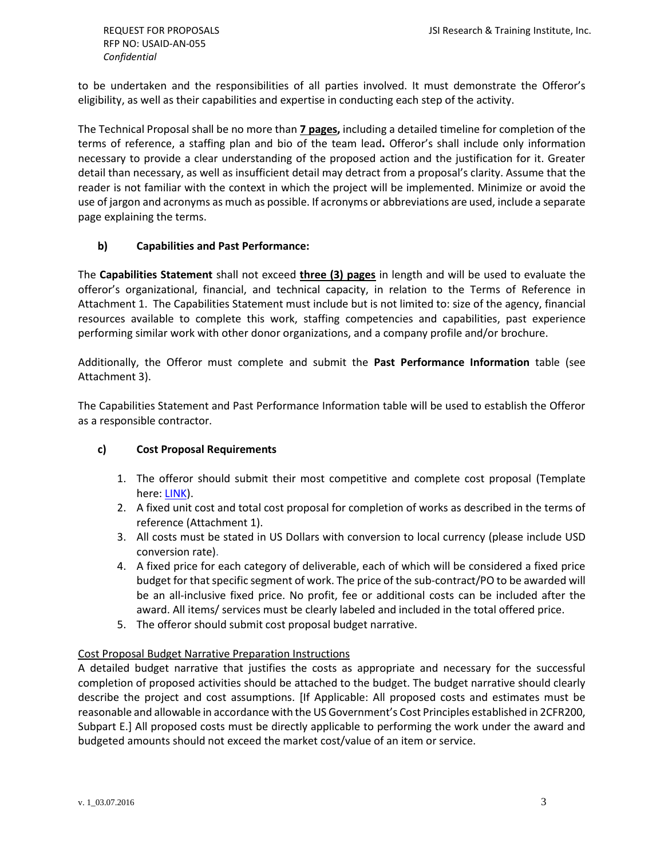to be undertaken and the responsibilities of all parties involved. It must demonstrate the Offeror's eligibility, as well as their capabilities and expertise in conducting each step of the activity.

The Technical Proposal shall be no more than **7 pages,** including a detailed timeline for completion of the terms of reference, a staffing plan and bio of the team lead**.** Offeror's shall include only information necessary to provide a clear understanding of the proposed action and the justification for it. Greater detail than necessary, as well as insufficient detail may detract from a proposal's clarity. Assume that the reader is not familiar with the context in which the project will be implemented. Minimize or avoid the use of jargon and acronyms as much as possible. If acronyms or abbreviations are used, include a separate page explaining the terms.

# **b) Capabilities and Past Performance:**

The **Capabilities Statement** shall not exceed **three (3) pages** in length and will be used to evaluate the offeror's organizational, financial, and technical capacity, in relation to the Terms of Reference in Attachment 1. The Capabilities Statement must include but is not limited to: size of the agency, financial resources available to complete this work, staffing competencies and capabilities, past experience performing similar work with other donor organizations, and a company profile and/or brochure.

Additionally, the Offeror must complete and submit the **Past Performance Information** table (see Attachment 3).

The Capabilities Statement and Past Performance Information table will be used to establish the Offeror as a responsible contractor.

## **c) Cost Proposal Requirements**

- 1. The offeror should submit their most competitive and complete cost proposal (Template here: [LINK\)](https://advancingnutritionfo-my.sharepoint.com/:x:/g/personal/rmacabasco_advancingnutritionfo_onmicrosoft_com/EfzBQS4KkhVMtFkYHJhMUJQBYJvr3qysAkH3_9-8tRNClg).
- 2. A fixed unit cost and total cost proposal for completion of works as described in the terms of reference (Attachment 1).
- 3. All costs must be stated in US Dollars with conversion to local currency (please include USD conversion rate).
- 4. A fixed price for each category of deliverable, each of which will be considered a fixed price budget for that specific segment of work. The price of the sub-contract/PO to be awarded will be an all-inclusive fixed price. No profit, fee or additional costs can be included after the award. All items/ services must be clearly labeled and included in the total offered price.
- 5. The offeror should submit cost proposal budget narrative.

## Cost Proposal Budget Narrative Preparation Instructions

A detailed budget narrative that justifies the costs as appropriate and necessary for the successful completion of proposed activities should be attached to the budget. The budget narrative should clearly describe the project and cost assumptions. [If Applicable: All proposed costs and estimates must be reasonable and allowable in accordance with the US Government's Cost Principles established in 2CFR200, Subpart E.] All proposed costs must be directly applicable to performing the work under the award and budgeted amounts should not exceed the market cost/value of an item or service.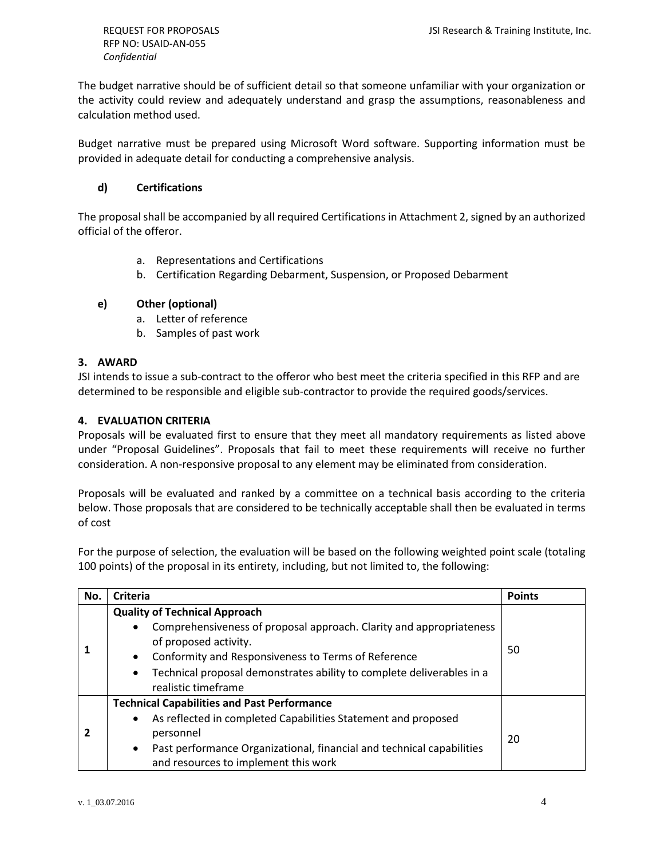The budget narrative should be of sufficient detail so that someone unfamiliar with your organization or the activity could review and adequately understand and grasp the assumptions, reasonableness and calculation method used.

Budget narrative must be prepared using Microsoft Word software. Supporting information must be provided in adequate detail for conducting a comprehensive analysis.

# **d) Certifications**

The proposal shall be accompanied by all required Certifications in Attachment 2, signed by an authorized official of the offeror.

- a. Representations and Certifications
- b. Certification Regarding Debarment, Suspension, or Proposed Debarment

# **e) Other (optional)**

- a. Letter of reference
- b. Samples of past work

## **3. AWARD**

JSI intends to issue a sub-contract to the offeror who best meet the criteria specified in this RFP and are determined to be responsible and eligible sub-contractor to provide the required goods/services.

## **4. EVALUATION CRITERIA**

Proposals will be evaluated first to ensure that they meet all mandatory requirements as listed above under "Proposal Guidelines". Proposals that fail to meet these requirements will receive no further consideration. A non-responsive proposal to any element may be eliminated from consideration.

Proposals will be evaluated and ranked by a committee on a technical basis according to the criteria below. Those proposals that are considered to be technically acceptable shall then be evaluated in terms of cost

For the purpose of selection, the evaluation will be based on the following weighted point scale (totaling 100 points) of the proposal in its entirety, including, but not limited to, the following:

| No. | <b>Criteria</b>                                                                                                                                                                                                                                                                                                    | <b>Points</b> |
|-----|--------------------------------------------------------------------------------------------------------------------------------------------------------------------------------------------------------------------------------------------------------------------------------------------------------------------|---------------|
|     | <b>Quality of Technical Approach</b><br>Comprehensiveness of proposal approach. Clarity and appropriateness<br>٠<br>of proposed activity.<br>Conformity and Responsiveness to Terms of Reference<br>$\bullet$<br>Technical proposal demonstrates ability to complete deliverables in a<br>٠<br>realistic timeframe | 50            |
| 2   | <b>Technical Capabilities and Past Performance</b><br>As reflected in completed Capabilities Statement and proposed<br>٠<br>personnel<br>Past performance Organizational, financial and technical capabilities<br>$\bullet$<br>and resources to implement this work                                                | 20            |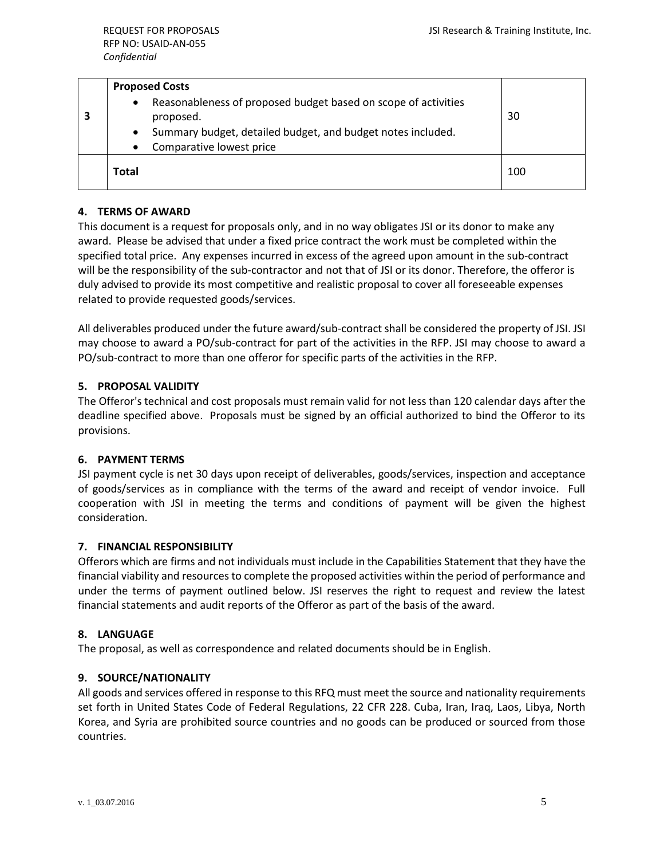|                        | <b>Proposed Costs</b>                                                                                                                                                  |     |
|------------------------|------------------------------------------------------------------------------------------------------------------------------------------------------------------------|-----|
| $\bullet$<br>$\bullet$ | Reasonableness of proposed budget based on scope of activities<br>proposed.<br>Summary budget, detailed budget, and budget notes included.<br>Comparative lowest price | 30  |
| Total                  |                                                                                                                                                                        | 100 |

# **4. TERMS OF AWARD**

This document is a request for proposals only, and in no way obligates JSI or its donor to make any award. Please be advised that under a fixed price contract the work must be completed within the specified total price. Any expenses incurred in excess of the agreed upon amount in the sub-contract will be the responsibility of the sub-contractor and not that of JSI or its donor. Therefore, the offeror is duly advised to provide its most competitive and realistic proposal to cover all foreseeable expenses related to provide requested goods/services.

All deliverables produced under the future award/sub-contract shall be considered the property of JSI. JSI may choose to award a PO/sub-contract for part of the activities in the RFP. JSI may choose to award a PO/sub-contract to more than one offeror for specific parts of the activities in the RFP.

# **5. PROPOSAL VALIDITY**

The Offeror's technical and cost proposals must remain valid for not less than 120 calendar days after the deadline specified above. Proposals must be signed by an official authorized to bind the Offeror to its provisions.

## **6. PAYMENT TERMS**

JSI payment cycle is net 30 days upon receipt of deliverables, goods/services, inspection and acceptance of goods/services as in compliance with the terms of the award and receipt of vendor invoice. Full cooperation with JSI in meeting the terms and conditions of payment will be given the highest consideration.

## **7. FINANCIAL RESPONSIBILITY**

Offerors which are firms and not individuals must include in the Capabilities Statement that they have the financial viability and resources to complete the proposed activities within the period of performance and under the terms of payment outlined below. JSI reserves the right to request and review the latest financial statements and audit reports of the Offeror as part of the basis of the award.

## **8. LANGUAGE**

The proposal, as well as correspondence and related documents should be in English.

## **9. SOURCE/NATIONALITY**

All goods and services offered in response to this RFQ must meet the source and nationality requirements set forth in United States Code of Federal Regulations, 22 CFR 228. Cuba, Iran, Iraq, Laos, Libya, North Korea, and Syria are prohibited source countries and no goods can be produced or sourced from those countries.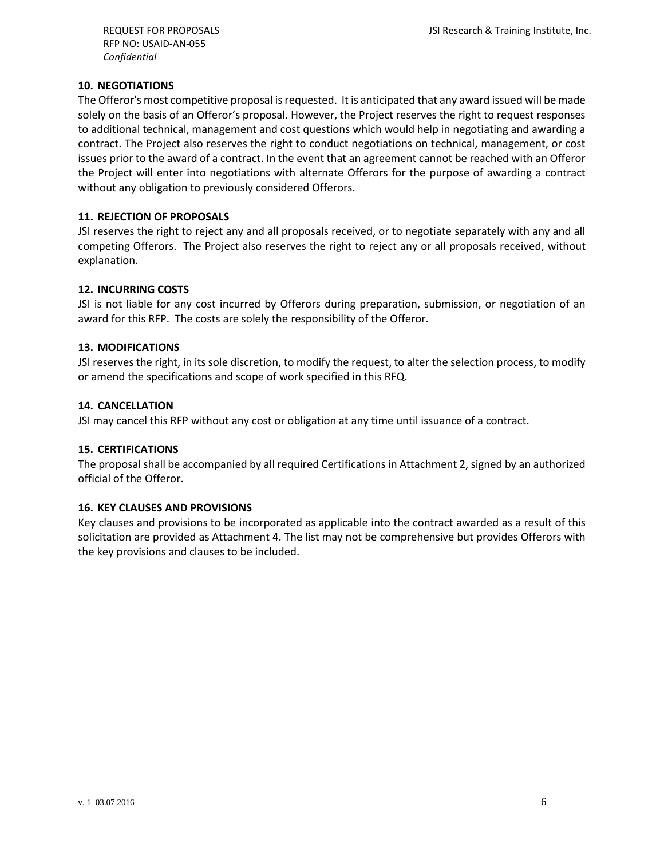### **10. NEGOTIATIONS**

The Offeror's most competitive proposal is requested. It is anticipated that any award issued will be made solely on the basis of an Offeror's proposal. However, the Project reserves the right to request responses to additional technical, management and cost questions which would help in negotiating and awarding a contract. The Project also reserves the right to conduct negotiations on technical, management, or cost issues prior to the award of a contract. In the event that an agreement cannot be reached with an Offeror the Project will enter into negotiations with alternate Offerors for the purpose of awarding a contract without any obligation to previously considered Offerors.

## **11. REJECTION OF PROPOSALS**

JSI reserves the right to reject any and all proposals received, or to negotiate separately with any and all competing Offerors. The Project also reserves the right to reject any or all proposals received, without explanation.

### **12. INCURRING COSTS**

JSI is not liable for any cost incurred by Offerors during preparation, submission, or negotiation of an award for this RFP. The costs are solely the responsibility of the Offeror.

### **13. MODIFICATIONS**

JSI reserves the right, in its sole discretion, to modify the request, to alter the selection process, to modify or amend the specifications and scope of work specified in this RFQ.

### **14. CANCELLATION**

JSI may cancel this RFP without any cost or obligation at any time until issuance of a contract.

## **15. CERTIFICATIONS**

The proposal shall be accompanied by all required Certifications in Attachment 2, signed by an authorized official of the Offeror.

### **16. KEY CLAUSES AND PROVISIONS**

Key clauses and provisions to be incorporated as applicable into the contract awarded as a result of this solicitation are provided as Attachment 4. The list may not be comprehensive but provides Offerors with the key provisions and clauses to be included.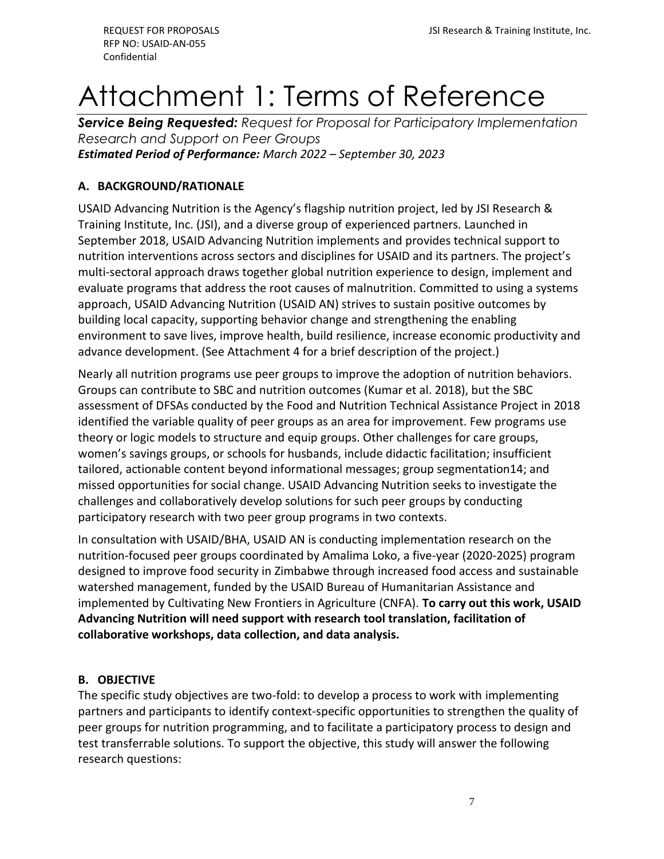# Attachment 1: Terms of Reference

*Service Being Requested: Request for Proposal for Participatory Implementation Research and Support on Peer Groups Estimated Period of Performance: March 2022 – September 30, 2023*

# **A. BACKGROUND/RATIONALE**

USAID Advancing Nutrition is the Agency's flagship nutrition project, led by JSI Research & Training Institute, Inc. (JSI), and a diverse group of experienced partners. Launched in September 2018, USAID Advancing Nutrition implements and provides technical support to nutrition interventions across sectors and disciplines for USAID and its partners. The project's multi-sectoral approach draws together global nutrition experience to design, implement and evaluate programs that address the root causes of malnutrition. Committed to using a systems approach, USAID Advancing Nutrition (USAID AN) strives to sustain positive outcomes by building local capacity, supporting behavior change and strengthening the enabling environment to save lives, improve health, build resilience, increase economic productivity and advance development. (See Attachment 4 for a brief description of the project.)

Nearly all nutrition programs use peer groups to improve the adoption of nutrition behaviors. Groups can contribute to SBC and nutrition outcomes (Kumar et al. 2018), but the SBC assessment of DFSAs conducted by the Food and Nutrition Technical Assistance Project in 2018 identified the variable quality of peer groups as an area for improvement. Few programs use theory or logic models to structure and equip groups. Other challenges for care groups, women's savings groups, or schools for husbands, include didactic facilitation; insufficient tailored, actionable content beyond informational messages; group segmentation14; and missed opportunities for social change. USAID Advancing Nutrition seeks to investigate the challenges and collaboratively develop solutions for such peer groups by conducting participatory research with two peer group programs in two contexts.

In consultation with USAID/BHA, USAID AN is conducting implementation research on the nutrition-focused peer groups coordinated by Amalima Loko, a five-year (2020-2025) program designed to improve food security in Zimbabwe through increased food access and sustainable watershed management, funded by the USAID Bureau of Humanitarian Assistance and implemented by Cultivating New Frontiers in Agriculture (CNFA). **To carry out this work, USAID Advancing Nutrition will need support with research tool translation, facilitation of collaborative workshops, data collection, and data analysis.**

# **B. OBJECTIVE**

The specific study objectives are two-fold: to develop a process to work with implementing partners and participants to identify context-specific opportunities to strengthen the quality of peer groups for nutrition programming, and to facilitate a participatory process to design and test transferrable solutions. To support the objective, this study will answer the following research questions: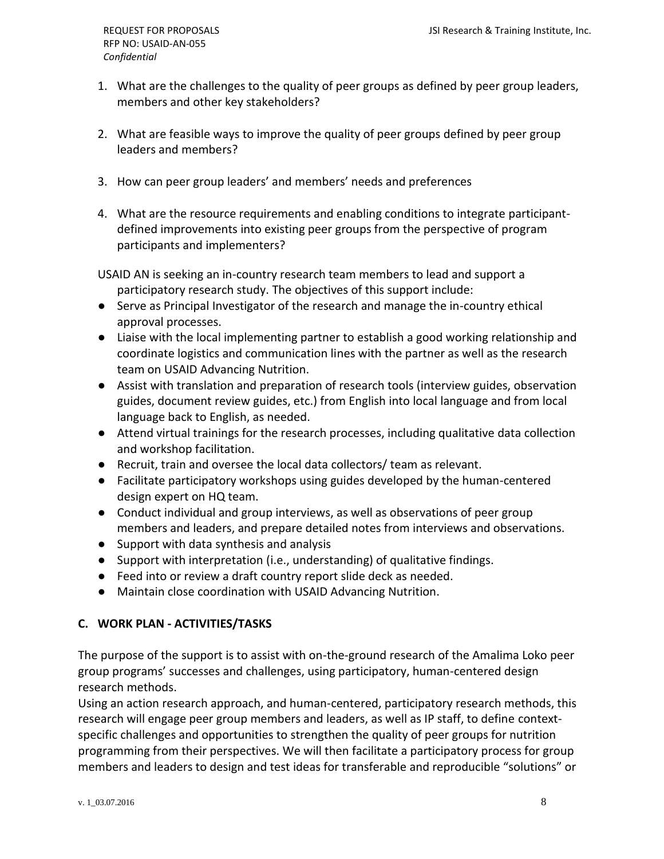- 1. What are the challenges to the quality of peer groups as defined by peer group leaders, members and other key stakeholders?
- 2. What are feasible ways to improve the quality of peer groups defined by peer group leaders and members?
- 3. How can peer group leaders' and members' needs and preferences
- 4. What are the resource requirements and enabling conditions to integrate participantdefined improvements into existing peer groups from the perspective of program participants and implementers?

USAID AN is seeking an in-country research team members to lead and support a participatory research study. The objectives of this support include:

- Serve as Principal Investigator of the research and manage the in-country ethical approval processes.
- Liaise with the local implementing partner to establish a good working relationship and coordinate logistics and communication lines with the partner as well as the research team on USAID Advancing Nutrition.
- Assist with translation and preparation of research tools (interview guides, observation guides, document review guides, etc.) from English into local language and from local language back to English, as needed.
- Attend virtual trainings for the research processes, including qualitative data collection and workshop facilitation.
- Recruit, train and oversee the local data collectors/ team as relevant.
- Facilitate participatory workshops using guides developed by the human-centered design expert on HQ team.
- Conduct individual and group interviews, as well as observations of peer group members and leaders, and prepare detailed notes from interviews and observations.
- Support with data synthesis and analysis
- Support with interpretation (i.e., understanding) of qualitative findings.
- Feed into or review a draft country report slide deck as needed.
- Maintain close coordination with USAID Advancing Nutrition.

# **C. WORK PLAN - ACTIVITIES/TASKS**

The purpose of the support is to assist with on-the-ground research of the Amalima Loko peer group programs' successes and challenges, using participatory, human-centered design research methods.

Using an action research approach, and human-centered, participatory research methods, this research will engage peer group members and leaders, as well as IP staff, to define contextspecific challenges and opportunities to strengthen the quality of peer groups for nutrition programming from their perspectives. We will then facilitate a participatory process for group members and leaders to design and test ideas for transferable and reproducible "solutions" or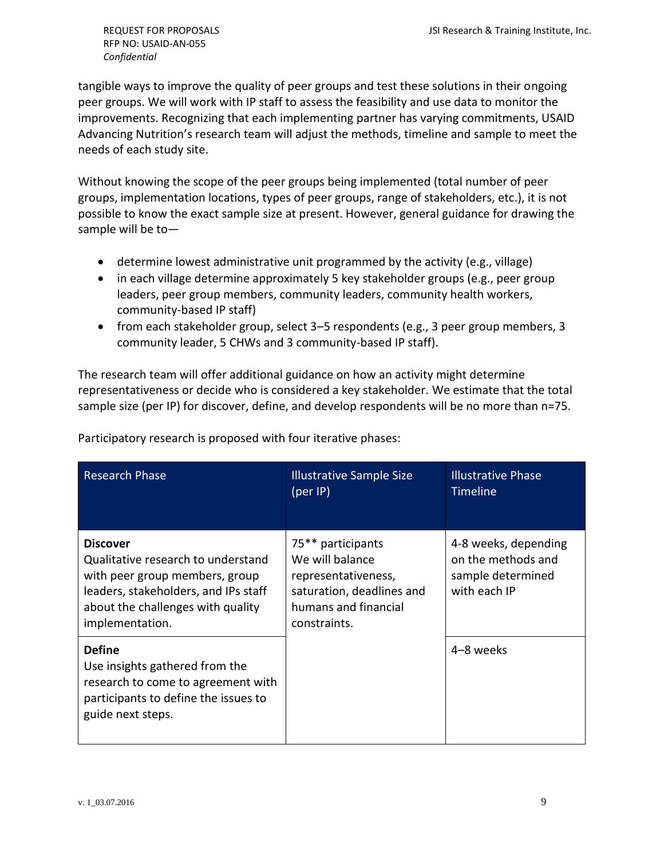tangible ways to improve the quality of peer groups and test these solutions in their ongoing peer groups. We will work with IP staff to assess the feasibility and use data to monitor the improvements. Recognizing that each implementing partner has varying commitments, USAID Advancing Nutrition's research team will adjust the methods, timeline and sample to meet the needs of each study site.

Without knowing the scope of the peer groups being implemented (total number of peer groups, implementation locations, types of peer groups, range of stakeholders, etc.), it is not possible to know the exact sample size at present. However, general guidance for drawing the sample will be to—

- determine lowest administrative unit programmed by the activity (e.g., village)
- in each village determine approximately 5 key stakeholder groups (e.g., peer group leaders, peer group members, community leaders, community health workers, community-based IP staff)
- from each stakeholder group, select 3–5 respondents (e.g., 3 peer group members, 3 community leader, 5 CHWs and 3 community-based IP staff).

The research team will offer additional guidance on how an activity might determine representativeness or decide who is considered a key stakeholder. We estimate that the total sample size (per IP) for discover, define, and develop respondents will be no more than n=75.

| <b>Research Phase</b>                                                                                                                                                                   | <b>Illustrative Sample Size</b><br>(per IP)                                                                                      | <b>Illustrative Phase</b><br><b>Timeline</b>                                    |
|-----------------------------------------------------------------------------------------------------------------------------------------------------------------------------------------|----------------------------------------------------------------------------------------------------------------------------------|---------------------------------------------------------------------------------|
| <b>Discover</b><br>Qualitative research to understand<br>with peer group members, group<br>leaders, stakeholders, and IPs staff<br>about the challenges with quality<br>implementation. | 75** participants<br>We will balance<br>representativeness,<br>saturation, deadlines and<br>humans and financial<br>constraints. | 4-8 weeks, depending<br>on the methods and<br>sample determined<br>with each IP |
| <b>Define</b><br>Use insights gathered from the<br>research to come to agreement with<br>participants to define the issues to<br>guide next steps.                                      |                                                                                                                                  | 4–8 weeks                                                                       |

Participatory research is proposed with four iterative phases: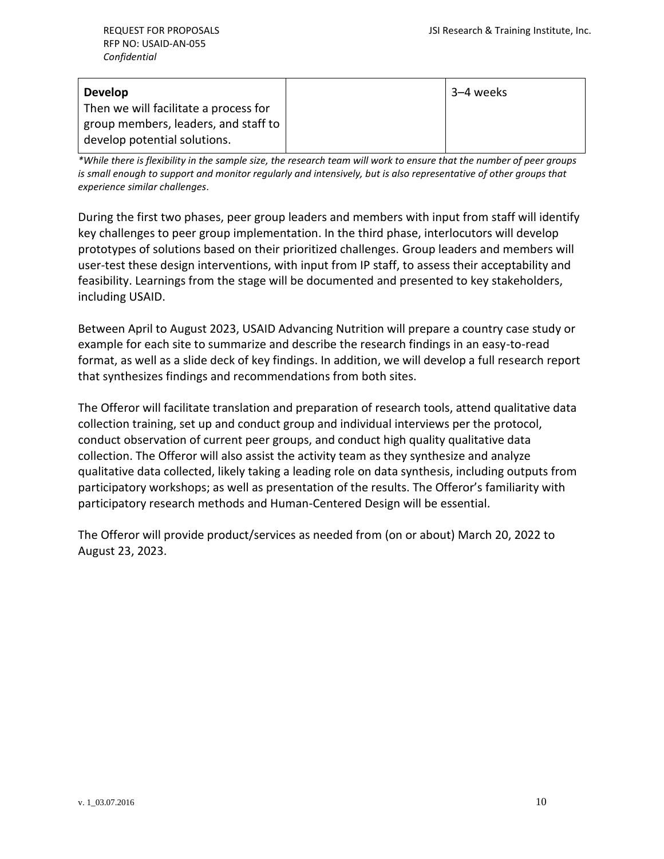| <b>Develop</b>                                                                                                | 3–4 weeks |
|---------------------------------------------------------------------------------------------------------------|-----------|
| Then we will facilitate a process for<br>group members, leaders, and staff to<br>develop potential solutions. |           |

*\*While there is flexibility in the sample size, the research team will work to ensure that the number of peer groups is small enough to support and monitor regularly and intensively, but is also representative of other groups that experience similar challenges*.

During the first two phases, peer group leaders and members with input from staff will identify key challenges to peer group implementation. In the third phase, interlocutors will develop prototypes of solutions based on their prioritized challenges. Group leaders and members will user-test these design interventions, with input from IP staff, to assess their acceptability and feasibility. Learnings from the stage will be documented and presented to key stakeholders, including USAID.

Between April to August 2023, USAID Advancing Nutrition will prepare a country case study or example for each site to summarize and describe the research findings in an easy-to-read format, as well as a slide deck of key findings. In addition, we will develop a full research report that synthesizes findings and recommendations from both sites.

The Offeror will facilitate translation and preparation of research tools, attend qualitative data collection training, set up and conduct group and individual interviews per the protocol, conduct observation of current peer groups, and conduct high quality qualitative data collection. The Offeror will also assist the activity team as they synthesize and analyze qualitative data collected, likely taking a leading role on data synthesis, including outputs from participatory workshops; as well as presentation of the results. The Offeror's familiarity with participatory research methods and Human-Centered Design will be essential.

The Offeror will provide product/services as needed from (on or about) March 20, 2022 to August 23, 2023.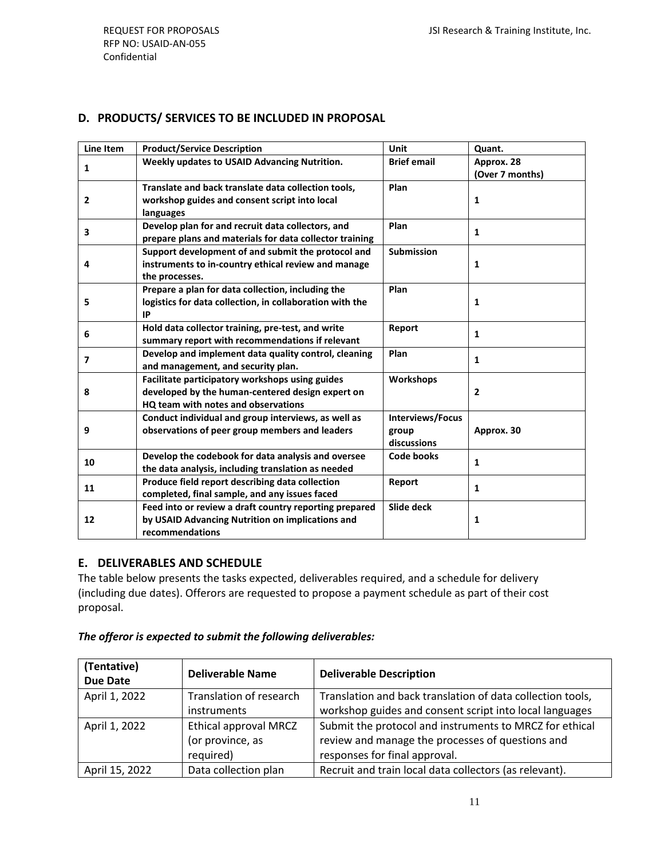# **D. PRODUCTS/ SERVICES TO BE INCLUDED IN PROPOSAL**

| Line Item               | <b>Product/Service Description</b>                       | <b>Unit</b>        | Quant.          |
|-------------------------|----------------------------------------------------------|--------------------|-----------------|
|                         | Weekly updates to USAID Advancing Nutrition.             | <b>Brief email</b> | Approx. 28      |
| 1                       |                                                          |                    | (Over 7 months) |
|                         | Translate and back translate data collection tools,      | Plan               |                 |
| $\overline{2}$          | workshop guides and consent script into local            |                    | $\mathbf{1}$    |
|                         | languages                                                |                    |                 |
| 3                       | Develop plan for and recruit data collectors, and        | Plan               | 1               |
|                         | prepare plans and materials for data collector training  |                    |                 |
|                         | Support development of and submit the protocol and       | <b>Submission</b>  |                 |
| 4                       | instruments to in-country ethical review and manage      |                    | 1               |
|                         | the processes.                                           |                    |                 |
|                         | Prepare a plan for data collection, including the        | Plan               |                 |
| 5                       | logistics for data collection, in collaboration with the |                    | 1               |
|                         | IP                                                       |                    |                 |
| 6                       | Hold data collector training, pre-test, and write        | Report             | $\mathbf{1}$    |
|                         | summary report with recommendations if relevant          |                    |                 |
| $\overline{\mathbf{z}}$ | Develop and implement data quality control, cleaning     | Plan               | 1               |
|                         | and management, and security plan.                       |                    |                 |
|                         | Facilitate participatory workshops using guides          | <b>Workshops</b>   |                 |
| 8                       | developed by the human-centered design expert on         |                    | $\overline{2}$  |
|                         | HQ team with notes and observations                      |                    |                 |
|                         | Conduct individual and group interviews, as well as      | Interviews/Focus   |                 |
| 9                       | observations of peer group members and leaders           | group              | Approx. 30      |
|                         |                                                          | discussions        |                 |
| 10                      | Develop the codebook for data analysis and oversee       | Code books         | 1               |
|                         | the data analysis, including translation as needed       |                    |                 |
| 11                      | Produce field report describing data collection          | Report             | $\mathbf{1}$    |
|                         | completed, final sample, and any issues faced            |                    |                 |
| 12                      | Feed into or review a draft country reporting prepared   | Slide deck         |                 |
|                         | by USAID Advancing Nutrition on implications and         |                    | 1               |
|                         | recommendations                                          |                    |                 |

# **E. DELIVERABLES AND SCHEDULE**

The table below presents the tasks expected, deliverables required, and a schedule for delivery (including due dates). Offerors are requested to propose a payment schedule as part of their cost proposal.

## *The offeror is expected to submit the following deliverables:*

| (Tentative)<br><b>Due Date</b> | <b>Deliverable Name</b> | <b>Deliverable Description</b>                             |
|--------------------------------|-------------------------|------------------------------------------------------------|
| April 1, 2022                  | Translation of research | Translation and back translation of data collection tools, |
|                                | instruments             | workshop guides and consent script into local languages    |
| April 1, 2022                  | Ethical approval MRCZ   | Submit the protocol and instruments to MRCZ for ethical    |
|                                | (or province, as        | review and manage the processes of questions and           |
|                                | required)               | responses for final approval.                              |
| April 15, 2022                 | Data collection plan    | Recruit and train local data collectors (as relevant).     |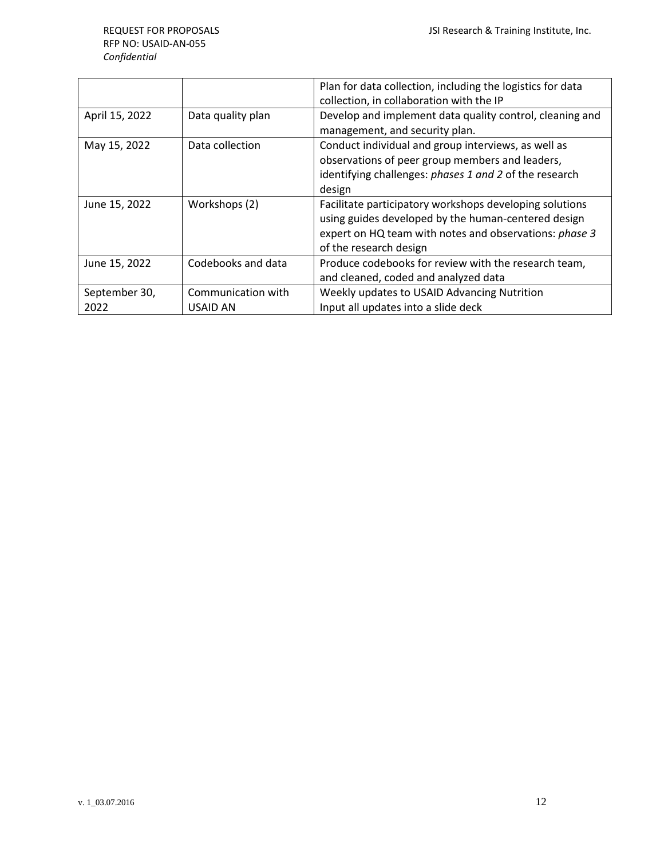|                       |                                | Plan for data collection, including the logistics for data<br>collection, in collaboration with the IP                                                                                             |
|-----------------------|--------------------------------|----------------------------------------------------------------------------------------------------------------------------------------------------------------------------------------------------|
| April 15, 2022        | Data quality plan              | Develop and implement data quality control, cleaning and<br>management, and security plan.                                                                                                         |
| May 15, 2022          | Data collection                | Conduct individual and group interviews, as well as<br>observations of peer group members and leaders,<br>identifying challenges: phases 1 and 2 of the research<br>design                         |
| June 15, 2022         | Workshops (2)                  | Facilitate participatory workshops developing solutions<br>using guides developed by the human-centered design<br>expert on HQ team with notes and observations: phase 3<br>of the research design |
| June 15, 2022         | Codebooks and data             | Produce codebooks for review with the research team,<br>and cleaned, coded and analyzed data                                                                                                       |
| September 30,<br>2022 | Communication with<br>USAID AN | Weekly updates to USAID Advancing Nutrition<br>Input all updates into a slide deck                                                                                                                 |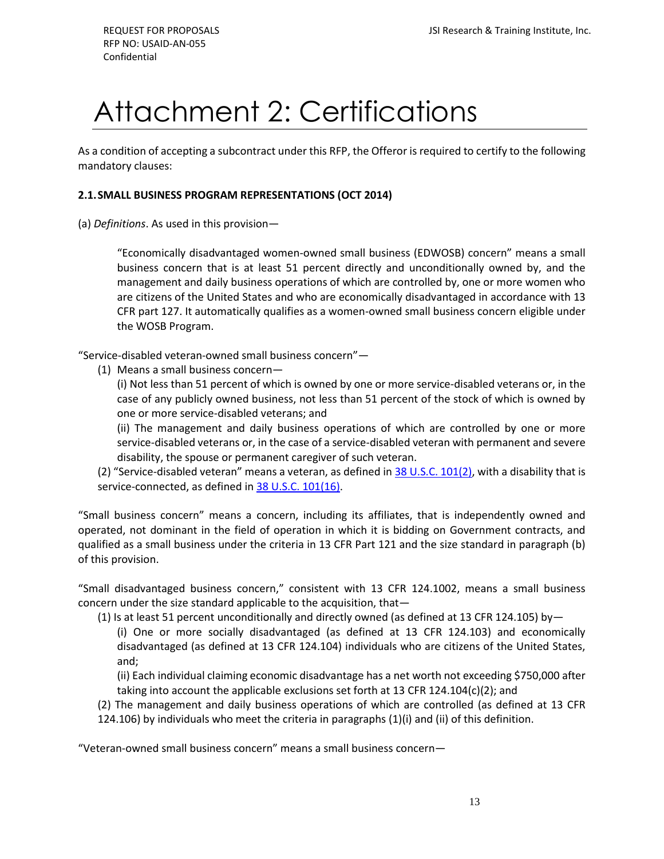# Attachment 2: Certifications

As a condition of accepting a subcontract under this RFP, the Offeror is required to certify to the following mandatory clauses:

# **2.1.SMALL BUSINESS PROGRAM REPRESENTATIONS (OCT 2014)**

(a) *Definitions*. As used in this provision—

"Economically disadvantaged women-owned small business (EDWOSB) concern" means a small business concern that is at least 51 percent directly and unconditionally owned by, and the management and daily business operations of which are controlled by, one or more women who are citizens of the United States and who are economically disadvantaged in accordance with 13 CFR part 127. It automatically qualifies as a women-owned small business concern eligible under the WOSB Program.

"Service-disabled veteran-owned small business concern"—

(1) Means a small business concern—

(i) Not less than 51 percent of which is owned by one or more service-disabled veterans or, in the case of any publicly owned business, not less than 51 percent of the stock of which is owned by one or more service-disabled veterans; and

(ii) The management and daily business operations of which are controlled by one or more service-disabled veterans or, in the case of a service-disabled veteran with permanent and severe disability, the spouse or permanent caregiver of such veteran.

(2) "Service-disabled veteran" means a veteran, as defined in [38 U.S.C. 101\(2\),](http://uscode.house.gov/uscode-cgi/fastweb.exe?getdoc+uscview+t37t40+200+2++%2838%29%20%20AND%20%28%2838%29%20ADJ%20USC%29%3ACITE%20%20%20%20%20%20%20%20%20) with a disability that is service-connected, as defined in [38 U.S.C. 101\(16\).](http://uscode.house.gov/uscode-cgi/fastweb.exe?getdoc+uscview+t37t40+200+2++%2838%29%20%20AND%20%28%2838%29%20ADJ%20USC%29%3ACITE%20%20%20%20%20%20%20%20%20)

"Small business concern" means a concern, including its affiliates, that is independently owned and operated, not dominant in the field of operation in which it is bidding on Government contracts, and qualified as a small business under the criteria in 13 CFR Part 121 and the size standard in paragraph (b) of this provision.

"Small disadvantaged business concern," consistent with 13 CFR 124.1002, means a small business concern under the size standard applicable to the acquisition, that—

(1) Is at least 51 percent unconditionally and directly owned (as defined at 13 CFR 124.105) by—

(i) One or more socially disadvantaged (as defined at 13 CFR 124.103) and economically disadvantaged (as defined at 13 CFR 124.104) individuals who are citizens of the United States, and;

(ii) Each individual claiming economic disadvantage has a net worth not exceeding \$750,000 after taking into account the applicable exclusions set forth at 13 CFR 124.104(c)(2); and

(2) The management and daily business operations of which are controlled (as defined at 13 CFR 124.106) by individuals who meet the criteria in paragraphs (1)(i) and (ii) of this definition.

"Veteran-owned small business concern" means a small business concern—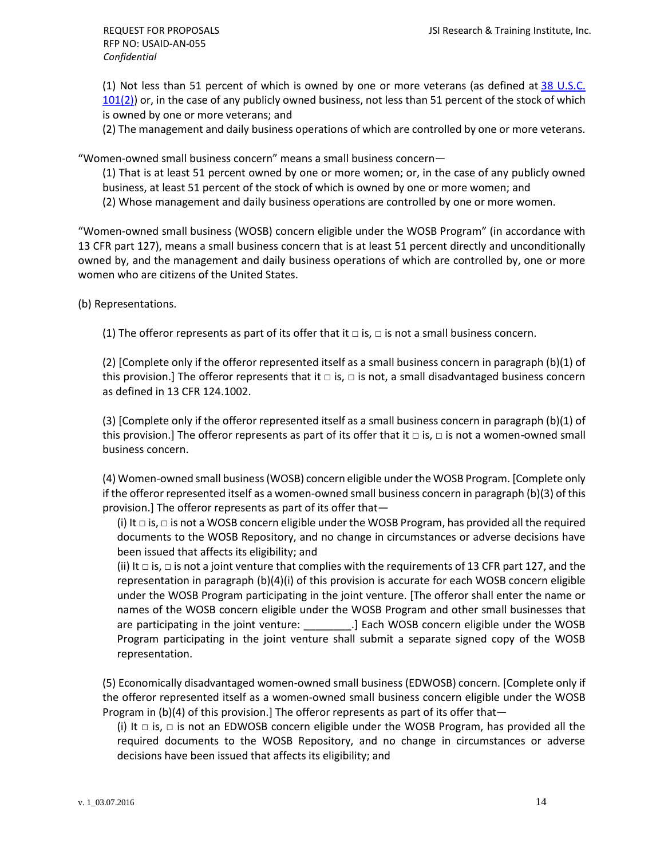(1) Not less than 51 percent of which is owned by one or more veterans (as defined at [38 U.S.C.](http://uscode.house.gov/uscode-cgi/fastweb.exe?getdoc+uscview+t37t40+200+2++%2838%29%20%20AND%20%28%2838%29%20ADJ%20USC%29%3ACITE%20%20%20%20%20%20%20%20%20)  [101\(2\)\)](http://uscode.house.gov/uscode-cgi/fastweb.exe?getdoc+uscview+t37t40+200+2++%2838%29%20%20AND%20%28%2838%29%20ADJ%20USC%29%3ACITE%20%20%20%20%20%20%20%20%20) or, in the case of any publicly owned business, not less than 51 percent of the stock of which is owned by one or more veterans; and

(2) The management and daily business operations of which are controlled by one or more veterans.

"Women-owned small business concern" means a small business concern—

(1) That is at least 51 percent owned by one or more women; or, in the case of any publicly owned business, at least 51 percent of the stock of which is owned by one or more women; and (2) Whose management and daily business operations are controlled by one or more women.

"Women-owned small business (WOSB) concern eligible under the WOSB Program" (in accordance with 13 CFR part 127), means a small business concern that is at least 51 percent directly and unconditionally owned by, and the management and daily business operations of which are controlled by, one or more women who are citizens of the United States.

(b) Representations.

(1) The offeror represents as part of its offer that it  $\Box$  is,  $\Box$  is not a small business concern.

(2) [Complete only if the offeror represented itself as a small business concern in paragraph (b)(1) of this provision.] The offeror represents that it  $\square$  is,  $\square$  is not, a small disadvantaged business concern as defined in 13 CFR 124.1002.

(3) [Complete only if the offeror represented itself as a small business concern in paragraph (b)(1) of this provision.] The offeror represents as part of its offer that it  $\Box$  is,  $\Box$  is not a women-owned small business concern.

(4) Women-owned small business (WOSB) concern eligible under the WOSB Program. [Complete only if the offeror represented itself as a women-owned small business concern in paragraph (b)(3) of this provision.] The offeror represents as part of its offer that—

(i) It  $\Box$  is,  $\Box$  is not a WOSB concern eligible under the WOSB Program, has provided all the required documents to the WOSB Repository, and no change in circumstances or adverse decisions have been issued that affects its eligibility; and

(ii) It  $\Box$  is,  $\Box$  is not a joint venture that complies with the requirements of 13 CFR part 127, and the representation in paragraph (b)(4)(i) of this provision is accurate for each WOSB concern eligible under the WOSB Program participating in the joint venture. [The offeror shall enter the name or names of the WOSB concern eligible under the WOSB Program and other small businesses that are participating in the joint venture: \_\_\_\_\_\_\_\_\_\_.] Each WOSB concern eligible under the WOSB Program participating in the joint venture shall submit a separate signed copy of the WOSB representation.

(5) Economically disadvantaged women-owned small business (EDWOSB) concern. [Complete only if the offeror represented itself as a women-owned small business concern eligible under the WOSB Program in (b)(4) of this provision.] The offeror represents as part of its offer that—

(i) It  $\square$  is,  $\square$  is not an EDWOSB concern eligible under the WOSB Program, has provided all the required documents to the WOSB Repository, and no change in circumstances or adverse decisions have been issued that affects its eligibility; and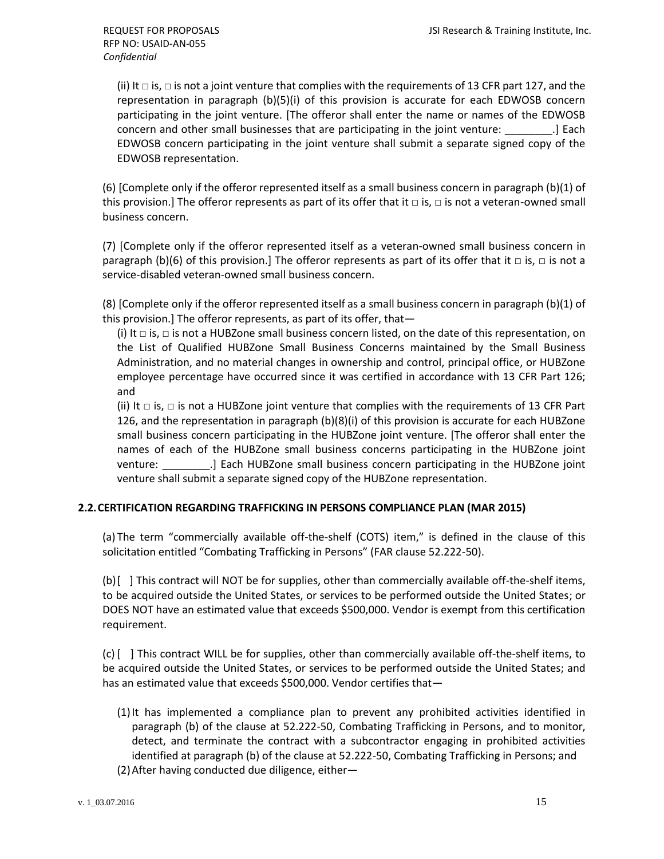(ii) It  $\Box$  is,  $\Box$  is not a joint venture that complies with the requirements of 13 CFR part 127, and the representation in paragraph (b)(5)(i) of this provision is accurate for each EDWOSB concern participating in the joint venture. [The offeror shall enter the name or names of the EDWOSB concern and other small businesses that are participating in the joint venture: \_\_\_\_\_\_\_\_.] Each EDWOSB concern participating in the joint venture shall submit a separate signed copy of the EDWOSB representation.

(6) [Complete only if the offeror represented itself as a small business concern in paragraph (b)(1) of this provision.] The offeror represents as part of its offer that it  $\Box$  is,  $\Box$  is not a veteran-owned small business concern.

(7) [Complete only if the offeror represented itself as a veteran-owned small business concern in paragraph (b)(6) of this provision.] The offeror represents as part of its offer that it  $\Box$  is,  $\Box$  is not a service-disabled veteran-owned small business concern.

(8) [Complete only if the offeror represented itself as a small business concern in paragraph (b)(1) of this provision.] The offeror represents, as part of its offer, that—

(i) It  $\Box$  is,  $\Box$  is not a HUBZone small business concern listed, on the date of this representation, on the List of Qualified HUBZone Small Business Concerns maintained by the Small Business Administration, and no material changes in ownership and control, principal office, or HUBZone employee percentage have occurred since it was certified in accordance with 13 CFR Part 126; and

(ii) It  $\Box$  is,  $\Box$  is not a HUBZone joint venture that complies with the requirements of 13 CFR Part 126, and the representation in paragraph (b)(8)(i) of this provision is accurate for each HUBZone small business concern participating in the HUBZone joint venture. [The offeror shall enter the names of each of the HUBZone small business concerns participating in the HUBZone joint venture: \_\_\_\_\_\_\_\_\_.] Each HUBZone small business concern participating in the HUBZone joint venture shall submit a separate signed copy of the HUBZone representation.

## **2.2.CERTIFICATION REGARDING TRAFFICKING IN PERSONS COMPLIANCE PLAN (MAR 2015)**

(a) The term "commercially available off-the-shelf (COTS) item," is defined in the clause of this solicitation entitled "Combating Trafficking in Persons" (FAR clause 52.222-50).

(b)[ ] This contract will NOT be for supplies, other than commercially available off-the-shelf items, to be acquired outside the United States, or services to be performed outside the United States; or DOES NOT have an estimated value that exceeds \$500,000. Vendor is exempt from this certification requirement.

(c) [ ] This contract WILL be for supplies, other than commercially available off-the-shelf items, to be acquired outside the United States, or services to be performed outside the United States; and has an estimated value that exceeds \$500,000. Vendor certifies that—

- (1)It has implemented a compliance plan to prevent any prohibited activities identified in paragraph (b) of the clause at 52.222-50, Combating Trafficking in Persons, and to monitor, detect, and terminate the contract with a subcontractor engaging in prohibited activities identified at paragraph (b) of the clause at 52.222-50, Combating Trafficking in Persons; and
- (2)After having conducted due diligence, either—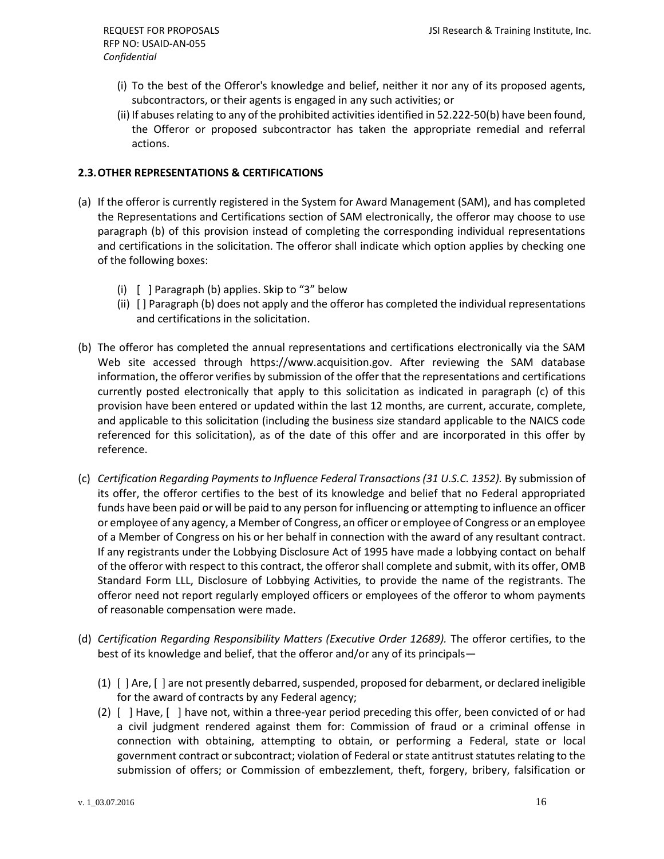- (i) To the best of the Offeror's knowledge and belief, neither it nor any of its proposed agents, subcontractors, or their agents is engaged in any such activities; or
- (ii) If abuses relating to any of the prohibited activities identified in 52.222-50(b) have been found, the Offeror or proposed subcontractor has taken the appropriate remedial and referral actions.

# **2.3.OTHER REPRESENTATIONS & CERTIFICATIONS**

- (a) If the offeror is currently registered in the System for Award Management (SAM), and has completed the Representations and Certifications section of SAM electronically, the offeror may choose to use paragraph (b) of this provision instead of completing the corresponding individual representations and certifications in the solicitation. The offeror shall indicate which option applies by checking one of the following boxes:
	- (i) [ ] Paragraph (b) applies. Skip to "3" below
	- (ii) [ ] Paragraph (b) does not apply and the offeror has completed the individual representations and certifications in the solicitation.
- (b) The offeror has completed the annual representations and certifications electronically via the SAM Web site accessed through https://www.acquisition.gov. After reviewing the SAM database information, the offeror verifies by submission of the offer that the representations and certifications currently posted electronically that apply to this solicitation as indicated in paragraph (c) of this provision have been entered or updated within the last 12 months, are current, accurate, complete, and applicable to this solicitation (including the business size standard applicable to the NAICS code referenced for this solicitation), as of the date of this offer and are incorporated in this offer by reference.
- (c) *Certification Regarding Payments to Influence Federal Transactions (31 U.S.C. 1352).* By submission of its offer, the offeror certifies to the best of its knowledge and belief that no Federal appropriated funds have been paid or will be paid to any person for influencing or attempting to influence an officer or employee of any agency, a Member of Congress, an officer or employee of Congress or an employee of a Member of Congress on his or her behalf in connection with the award of any resultant contract. If any registrants under the Lobbying Disclosure Act of 1995 have made a lobbying contact on behalf of the offeror with respect to this contract, the offeror shall complete and submit, with its offer, OMB Standard Form LLL, Disclosure of Lobbying Activities, to provide the name of the registrants. The offeror need not report regularly employed officers or employees of the offeror to whom payments of reasonable compensation were made.
- (d) *Certification Regarding Responsibility Matters (Executive Order 12689).* The offeror certifies, to the best of its knowledge and belief, that the offeror and/or any of its principals—
	- (1) [ ] Are, [ ] are not presently debarred, suspended, proposed for debarment, or declared ineligible for the award of contracts by any Federal agency;
	- (2) [ ] Have, [ ] have not, within a three-year period preceding this offer, been convicted of or had a civil judgment rendered against them for: Commission of fraud or a criminal offense in connection with obtaining, attempting to obtain, or performing a Federal, state or local government contract or subcontract; violation of Federal or state antitrust statutes relating to the submission of offers; or Commission of embezzlement, theft, forgery, bribery, falsification or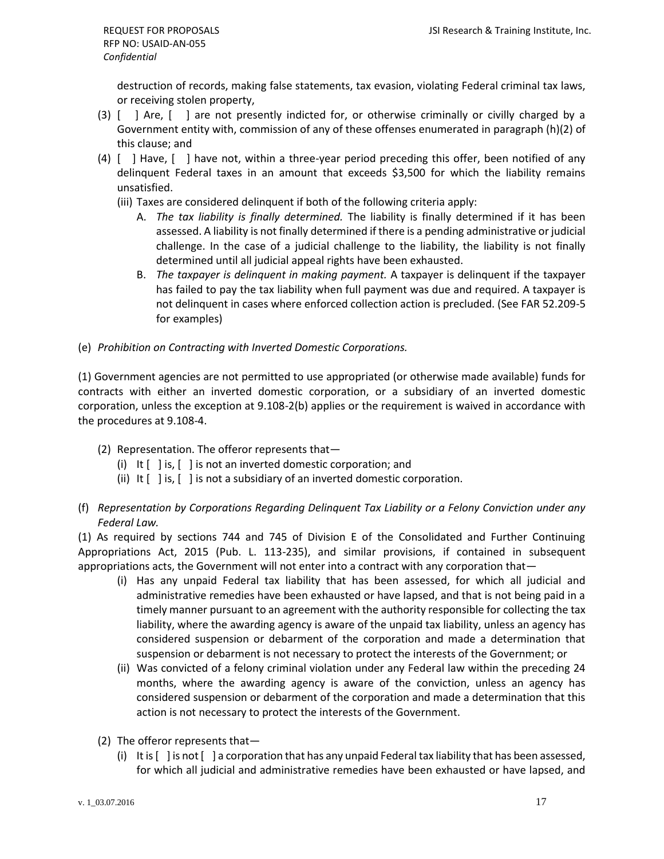destruction of records, making false statements, tax evasion, violating Federal criminal tax laws, or receiving stolen property,

- $(3)$   $\lceil$   $\rceil$  Are,  $\lceil$  are not presently indicted for, or otherwise criminally or civilly charged by a Government entity with, commission of any of these offenses enumerated in paragraph (h)(2) of this clause; and
- (4) [ ] Have, [ ] have not, within a three-year period preceding this offer, been notified of any delinquent Federal taxes in an amount that exceeds \$3,500 for which the liability remains unsatisfied.
	- (iii) Taxes are considered delinquent if both of the following criteria apply:
		- A. *The tax liability is finally determined.* The liability is finally determined if it has been assessed. A liability is not finally determined if there is a pending administrative or judicial challenge. In the case of a judicial challenge to the liability, the liability is not finally determined until all judicial appeal rights have been exhausted.
		- B. *The taxpayer is delinquent in making payment.* A taxpayer is delinquent if the taxpayer has failed to pay the tax liability when full payment was due and required. A taxpayer is not delinquent in cases where enforced collection action is precluded. (See FAR 52.209-5 for examples)
- (e) *Prohibition on Contracting with Inverted Domestic Corporations.*

(1) Government agencies are not permitted to use appropriated (or otherwise made available) funds for contracts with either an inverted domestic corporation, or a subsidiary of an inverted domestic corporation, unless the exception at 9.108-2(b) applies or the requirement is waived in accordance with the procedures at 9.108-4.

- (2) Representation. The offeror represents that—
	- (i) It [ ] is, [ ] is not an inverted domestic corporation; and
	- (ii) It [ ] is, [ ] is not a subsidiary of an inverted domestic corporation.
- (f) *Representation by Corporations Regarding Delinquent Tax Liability or a Felony Conviction under any Federal Law.*

(1) As required by sections 744 and 745 of Division E of the Consolidated and Further Continuing Appropriations Act, 2015 (Pub. L. 113-235), and similar provisions, if contained in subsequent appropriations acts, the Government will not enter into a contract with any corporation that—

- (i) Has any unpaid Federal tax liability that has been assessed, for which all judicial and administrative remedies have been exhausted or have lapsed, and that is not being paid in a timely manner pursuant to an agreement with the authority responsible for collecting the tax liability, where the awarding agency is aware of the unpaid tax liability, unless an agency has considered suspension or debarment of the corporation and made a determination that suspension or debarment is not necessary to protect the interests of the Government; or
- (ii) Was convicted of a felony criminal violation under any Federal law within the preceding 24 months, where the awarding agency is aware of the conviction, unless an agency has considered suspension or debarment of the corporation and made a determination that this action is not necessary to protect the interests of the Government.
- (2) The offeror represents that—
	- (i) It is [ ] is not [ ] a corporation that has any unpaid Federal tax liability that has been assessed, for which all judicial and administrative remedies have been exhausted or have lapsed, and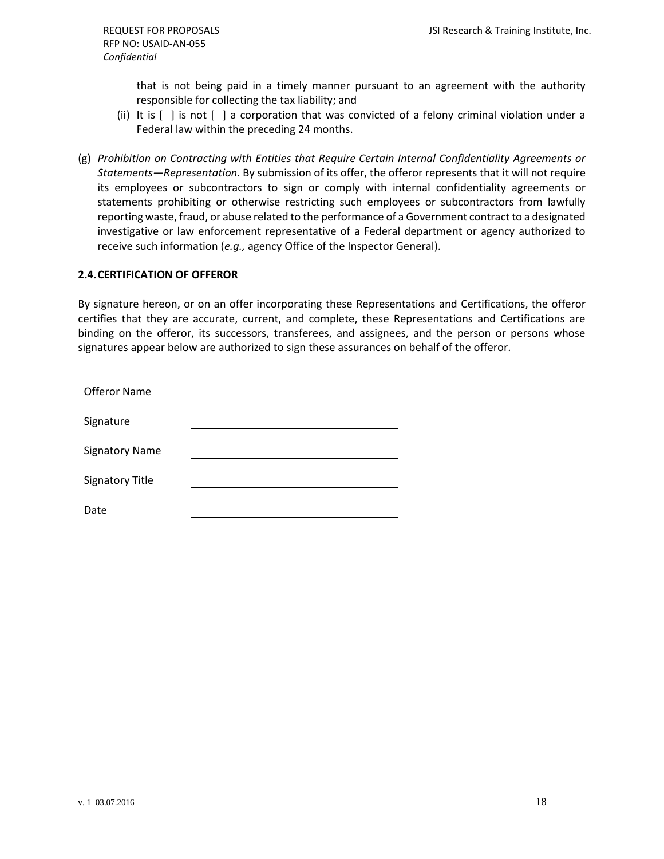that is not being paid in a timely manner pursuant to an agreement with the authority responsible for collecting the tax liability; and

- (ii) It is [ ] is not [ ] a corporation that was convicted of a felony criminal violation under a Federal law within the preceding 24 months.
- (g) *Prohibition on Contracting with Entities that Require Certain Internal Confidentiality Agreements or Statements—Representation.* By submission of its offer, the offeror represents that it will not require its employees or subcontractors to sign or comply with internal confidentiality agreements or statements prohibiting or otherwise restricting such employees or subcontractors from lawfully reporting waste, fraud, or abuse related to the performance of a Government contract to a designated investigative or law enforcement representative of a Federal department or agency authorized to receive such information (*e.g.,* agency Office of the Inspector General).

### **2.4.CERTIFICATION OF OFFEROR**

By signature hereon, or on an offer incorporating these Representations and Certifications, the offeror certifies that they are accurate, current, and complete, these Representations and Certifications are binding on the offeror, its successors, transferees, and assignees, and the person or persons whose signatures appear below are authorized to sign these assurances on behalf of the offeror.

| <b>Offeror Name</b>    |  |
|------------------------|--|
| Signature              |  |
| <b>Signatory Name</b>  |  |
| <b>Signatory Title</b> |  |
| Date                   |  |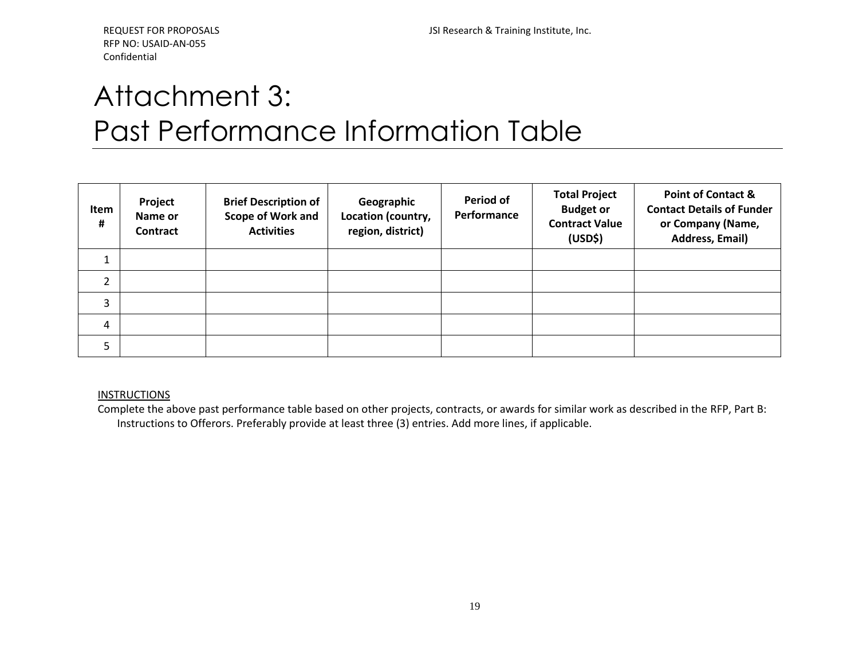# Attachment 3: Past Performance Information Table

| Item<br># | Project<br>Name or<br><b>Contract</b> | <b>Brief Description of</b><br><b>Scope of Work and</b><br><b>Activities</b> | Geographic<br>Location (country,<br>region, district) | Period of<br>Performance | <b>Total Project</b><br><b>Budget or</b><br><b>Contract Value</b><br>(USD\$) | <b>Point of Contact &amp;</b><br><b>Contact Details of Funder</b><br>or Company (Name,<br>Address, Email) |
|-----------|---------------------------------------|------------------------------------------------------------------------------|-------------------------------------------------------|--------------------------|------------------------------------------------------------------------------|-----------------------------------------------------------------------------------------------------------|
|           |                                       |                                                                              |                                                       |                          |                                                                              |                                                                                                           |
|           |                                       |                                                                              |                                                       |                          |                                                                              |                                                                                                           |
| 3         |                                       |                                                                              |                                                       |                          |                                                                              |                                                                                                           |
| 4         |                                       |                                                                              |                                                       |                          |                                                                              |                                                                                                           |
|           |                                       |                                                                              |                                                       |                          |                                                                              |                                                                                                           |

### **INSTRUCTIONS**

Complete the above past performance table based on other projects, contracts, or awards for similar work as described in the RFP, Part B: Instructions to Offerors. Preferably provide at least three (3) entries. Add more lines, if applicable.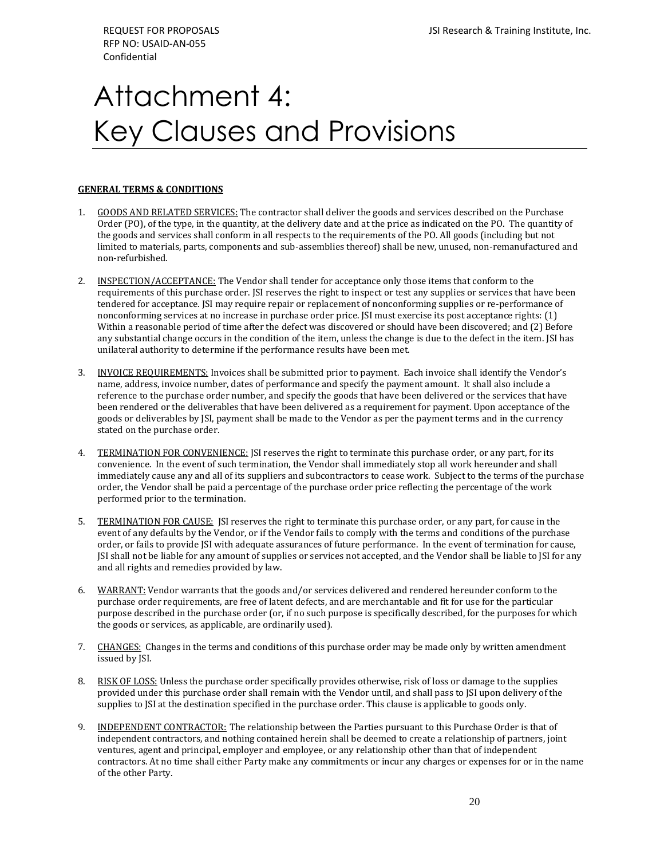# Attachment 4: Key Clauses and Provisions

### **GENERAL TERMS & CONDITIONS**

- 1. GOODS AND RELATED SERVICES: The contractor shall deliver the goods and services described on the Purchase Order (PO), of the type, in the quantity, at the delivery date and at the price as indicated on the PO. The quantity of the goods and services shall conform in all respects to the requirements of the PO. All goods (including but not limited to materials, parts, components and sub-assemblies thereof) shall be new, unused, non-remanufactured and non-refurbished.
- 2. INSPECTION/ACCEPTANCE: The Vendor shall tender for acceptance only those items that conform to the requirements of this purchase order. JSI reserves the right to inspect or test any supplies or services that have been tendered for acceptance. JSI may require repair or replacement of nonconforming supplies or re-performance of nonconforming services at no increase in purchase order price. JSI must exercise its post acceptance rights: (1) Within a reasonable period of time after the defect was discovered or should have been discovered; and (2) Before any substantial change occurs in the condition of the item, unless the change is due to the defect in the item. JSI has unilateral authority to determine if the performance results have been met.
- 3. INVOICE REQUIREMENTS: Invoices shall be submitted prior to payment. Each invoice shall identify the Vendor's name, address, invoice number, dates of performance and specify the payment amount. It shall also include a reference to the purchase order number, and specify the goods that have been delivered or the services that have been rendered or the deliverables that have been delivered as a requirement for payment. Upon acceptance of the goods or deliverables by JSI, payment shall be made to the Vendor as per the payment terms and in the currency stated on the purchase order.
- 4. TERMINATION FOR CONVENIENCE: [SI reserves the right to terminate this purchase order, or any part, for its convenience. In the event of such termination, the Vendor shall immediately stop all work hereunder and shall immediately cause any and all of its suppliers and subcontractors to cease work. Subject to the terms of the purchase order, the Vendor shall be paid a percentage of the purchase order price reflecting the percentage of the work performed prior to the termination.
- 5. TERMINATION FOR CAUSE: JSI reserves the right to terminate this purchase order, or any part, for cause in the event of any defaults by the Vendor, or if the Vendor fails to comply with the terms and conditions of the purchase order, or fails to provide JSI with adequate assurances of future performance. In the event of termination for cause, JSI shall not be liable for any amount of supplies or services not accepted, and the Vendor shall be liable to JSI for any and all rights and remedies provided by law.
- 6. WARRANT: Vendor warrants that the goods and/or services delivered and rendered hereunder conform to the purchase order requirements, are free of latent defects, and are merchantable and fit for use for the particular purpose described in the purchase order (or, if no such purpose is specifically described, for the purposes for which the goods or services, as applicable, are ordinarily used).
- 7. CHANGES: Changes in the terms and conditions of this purchase order may be made only by written amendment issued by JSI.
- 8. RISK OF LOSS: Unless the purchase order specifically provides otherwise, risk of loss or damage to the supplies provided under this purchase order shall remain with the Vendor until, and shall pass to JSI upon delivery of the supplies to JSI at the destination specified in the purchase order. This clause is applicable to goods only.
- 9. INDEPENDENT CONTRACTOR: The relationship between the Parties pursuant to this Purchase Order is that of independent contractors, and nothing contained herein shall be deemed to create a relationship of partners, joint ventures, agent and principal, employer and employee, or any relationship other than that of independent contractors. At no time shall either Party make any commitments or incur any charges or expenses for or in the name of the other Party.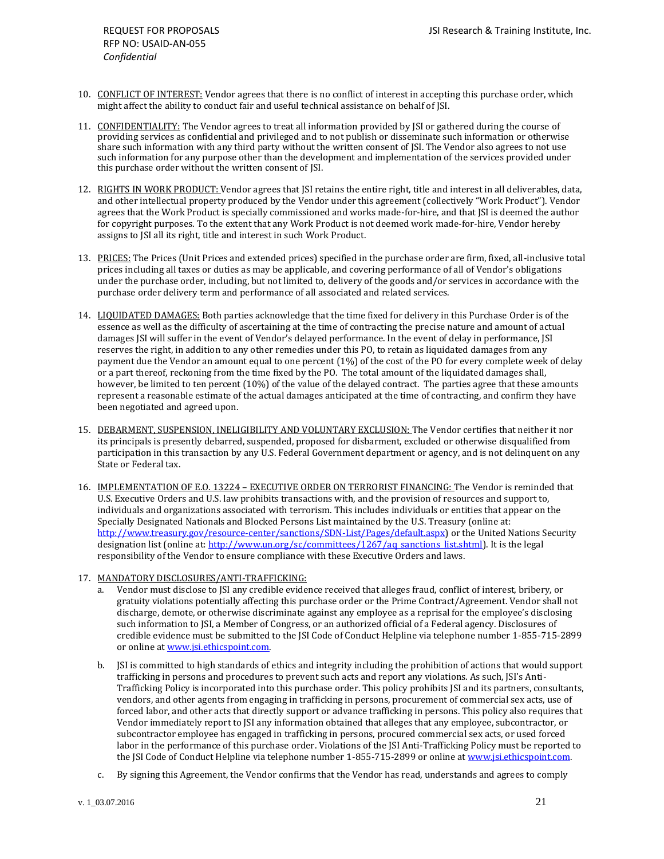- 10. CONFLICT OF INTEREST: Vendor agrees that there is no conflict of interest in accepting this purchase order, which might affect the ability to conduct fair and useful technical assistance on behalf of JSI.
- 11. CONFIDENTIALITY: The Vendor agrees to treat all information provided by JSI or gathered during the course of providing services as confidential and privileged and to not publish or disseminate such information or otherwise share such information with any third party without the written consent of JSI. The Vendor also agrees to not use such information for any purpose other than the development and implementation of the services provided under this purchase order without the written consent of JSI.
- 12. RIGHTS IN WORK PRODUCT: Vendor agrees that JSI retains the entire right, title and interest in all deliverables, data, and other intellectual property produced by the Vendor under this agreement (collectively "Work Product"). Vendor agrees that the Work Product is specially commissioned and works made-for-hire, and that JSI is deemed the author for copyright purposes. To the extent that any Work Product is not deemed work made-for-hire, Vendor hereby assigns to JSI all its right, title and interest in such Work Product.
- 13. PRICES: The Prices (Unit Prices and extended prices) specified in the purchase order are firm, fixed, all-inclusive total prices including all taxes or duties as may be applicable, and covering performance of all of Vendor's obligations under the purchase order, including, but not limited to, delivery of the goods and/or services in accordance with the purchase order delivery term and performance of all associated and related services.
- 14. LIQUIDATED DAMAGES: Both parties acknowledge that the time fixed for delivery in this Purchase Order is of the essence as well as the difficulty of ascertaining at the time of contracting the precise nature and amount of actual damages JSI will suffer in the event of Vendor's delayed performance. In the event of delay in performance, JSI reserves the right, in addition to any other remedies under this PO, to retain as liquidated damages from any payment due the Vendor an amount equal to one percent (1%) of the cost of the PO for every complete week of delay or a part thereof, reckoning from the time fixed by the PO. The total amount of the liquidated damages shall, however, be limited to ten percent (10%) of the value of the delayed contract. The parties agree that these amounts represent a reasonable estimate of the actual damages anticipated at the time of contracting, and confirm they have been negotiated and agreed upon.
- 15. DEBARMENT, SUSPENSION, INELIGIBILITY AND VOLUNTARY EXCLUSION: The Vendor certifies that neither it nor its principals is presently debarred, suspended, proposed for disbarment, excluded or otherwise disqualified from participation in this transaction by any U.S. Federal Government department or agency, and is not delinquent on any State or Federal tax.
- 16. IMPLEMENTATION OF E.O. 13224 EXECUTIVE ORDER ON TERRORIST FINANCING: The Vendor is reminded that U.S. Executive Orders and U.S. law prohibits transactions with, and the provision of resources and support to, individuals and organizations associated with terrorism. This includes individuals or entities that appear on the Specially Designated Nationals and Blocked Persons List maintained by the U.S. Treasury (online at: http://www.treasury.gov/resource-center/sanctions/SDN-List/Pages/default.aspx) or the United Nations Security designation list (online at: http://www.un.org/sc/committees/1267/aq\_sanctions\_list.shtml). It is the legal responsibility of the Vendor to ensure compliance with these Executive Orders and laws.

### 17. MANDATORY DISCLOSURES/ANTI-TRAFFICKING:

- a. Vendor must disclose to JSI any credible evidence received that alleges fraud, conflict of interest, bribery, or gratuity violations potentially affecting this purchase order or the Prime Contract/Agreement. Vendor shall not discharge, demote, or otherwise discriminate against any employee as a reprisal for the employee's disclosing such information to JSI, a Member of Congress, or an authorized official of a Federal agency. Disclosures of credible evidence must be submitted to the JSI Code of Conduct Helpline via telephone number 1-855-715-2899 or online a[t www.jsi.ethicspoint.com.](http://www.jsi.ethicspoint.com/)
- b. JSI is committed to high standards of ethics and integrity including the prohibition of actions that would support trafficking in persons and procedures to prevent such acts and report any violations. As such, JSI's Anti-Trafficking Policy is incorporated into this purchase order. This policy prohibits JSI and its partners, consultants, vendors, and other agents from engaging in trafficking in persons, procurement of commercial sex acts, use of forced labor, and other acts that directly support or advance trafficking in persons. This policy also requires that Vendor immediately report to JSI any information obtained that alleges that any employee, subcontractor, or subcontractor employee has engaged in trafficking in persons, procured commercial sex acts, or used forced labor in the performance of this purchase order. Violations of the JSI Anti-Trafficking Policy must be reported to the JSI Code of Conduct Helpline via telephone number 1-855-715-2899 or online a[t www.jsi.ethicspoint.com.](http://www.jsi.ethicspoint.com/)
- c. By signing this Agreement, the Vendor confirms that the Vendor has read, understands and agrees to comply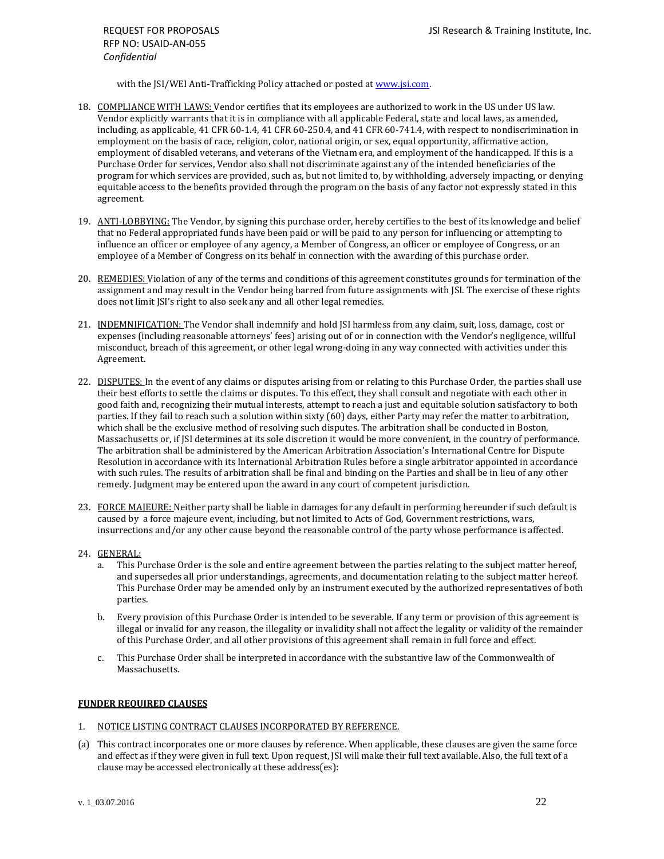with the JSI/WEI Anti-Trafficking Policy attached or posted a[t www.jsi.com.](http://www.jsi.com/)

- 18. COMPLIANCE WITH LAWS: Vendor certifies that its employees are authorized to work in the US under US law. Vendor explicitly warrants that it is in compliance with all applicable Federal, state and local laws, as amended, including, as applicable, 41 CFR 60-1.4, 41 CFR 60-250.4, and 41 CFR 60-741.4, with respect to nondiscrimination in employment on the basis of race, religion, color, national origin, or sex, equal opportunity, affirmative action, employment of disabled veterans, and veterans of the Vietnam era, and employment of the handicapped. If this is a Purchase Order for services, Vendor also shall not discriminate against any of the intended beneficiaries of the program for which services are provided, such as, but not limited to, by withholding, adversely impacting, or denying equitable access to the benefits provided through the program on the basis of any factor not expressly stated in this agreement.
- 19. ANTI-LOBBYING: The Vendor, by signing this purchase order, hereby certifies to the best of its knowledge and belief that no Federal appropriated funds have been paid or will be paid to any person for influencing or attempting to influence an officer or employee of any agency, a Member of Congress, an officer or employee of Congress, or an employee of a Member of Congress on its behalf in connection with the awarding of this purchase order.
- 20. REMEDIES: Violation of any of the terms and conditions of this agreement constitutes grounds for termination of the assignment and may result in the Vendor being barred from future assignments with JSI. The exercise of these rights does not limit JSI's right to also seek any and all other legal remedies.
- 21. INDEMNIFICATION: The Vendor shall indemnify and hold JSI harmless from any claim, suit, loss, damage, cost or expenses (including reasonable attorneys' fees) arising out of or in connection with the Vendor's negligence, willful misconduct, breach of this agreement, or other legal wrong-doing in any way connected with activities under this Agreement.
- 22. DISPUTES: In the event of any claims or disputes arising from or relating to this Purchase Order, the parties shall use their best efforts to settle the claims or disputes. To this effect, they shall consult and negotiate with each other in good faith and, recognizing their mutual interests, attempt to reach a just and equitable solution satisfactory to both parties. If they fail to reach such a solution within sixty (60) days, either Party may refer the matter to arbitration, which shall be the exclusive method of resolving such disputes. The arbitration shall be conducted in Boston, Massachusetts or, if JSI determines at its sole discretion it would be more convenient, in the country of performance. The arbitration shall be administered by the American Arbitration Association's International Centre for Dispute Resolution in accordance with its International Arbitration Rules before a single arbitrator appointed in accordance with such rules. The results of arbitration shall be final and binding on the Parties and shall be in lieu of any other remedy. Judgment may be entered upon the award in any court of competent jurisdiction.
- 23. FORCE MAJEURE: Neither party shall be liable in damages for any default in performing hereunder if such default is caused by a force majeure event, including, but not limited to Acts of God, Government restrictions, wars, insurrections and/or any other cause beyond the reasonable control of the party whose performance is affected.
- 24. GENERAL:
	- a. This Purchase Order is the sole and entire agreement between the parties relating to the subject matter hereof, and supersedes all prior understandings, agreements, and documentation relating to the subject matter hereof. This Purchase Order may be amended only by an instrument executed by the authorized representatives of both parties.
	- b. Every provision of this Purchase Order is intended to be severable. If any term or provision of this agreement is illegal or invalid for any reason, the illegality or invalidity shall not affect the legality or validity of the remainder of this Purchase Order, and all other provisions of this agreement shall remain in full force and effect.
	- c. This Purchase Order shall be interpreted in accordance with the substantive law of the Commonwealth of Massachusetts.

### **FUNDER REQUIRED CLAUSES**

- 1. NOTICE LISTING CONTRACT CLAUSES INCORPORATED BY REFERENCE.
- (a) This contract incorporates one or more clauses by reference. When applicable, these clauses are given the same force and effect as if they were given in full text. Upon request, JSI will make their full text available. Also, the full text of a clause may be accessed electronically at these address(es):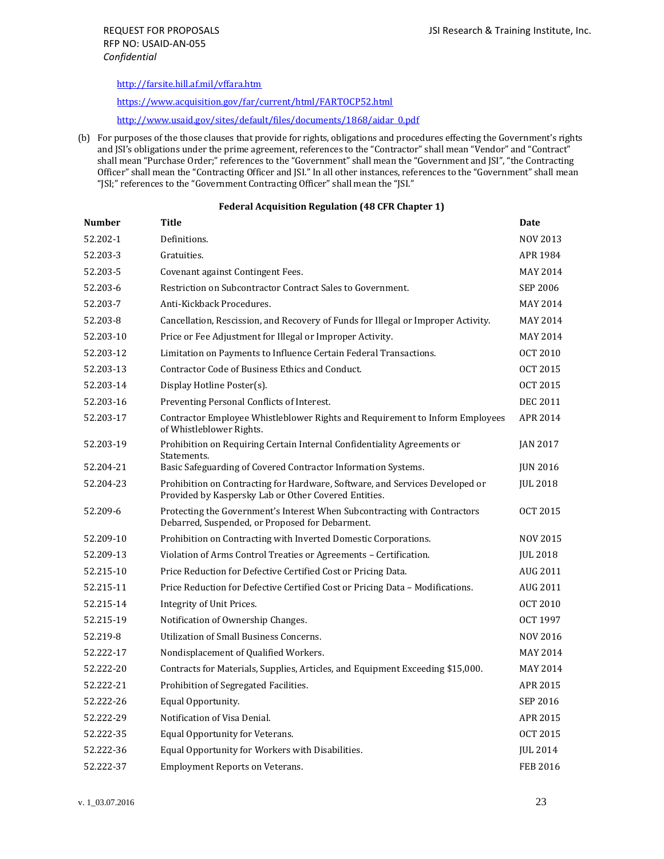### <http://farsite.hill.af.mil/vffara.htm>

<https://www.acquisition.gov/far/current/html/FARTOCP52.html>

[http://www.usaid.gov/sites/default/files/documents/1868/aidar\\_0.pdf](http://www.usaid.gov/sites/default/files/documents/1868/aidar_0.pdf)

(b) For purposes of the those clauses that provide for rights, obligations and procedures effecting the Government's rights and JSI's obligations under the prime agreement, references to the "Contractor" shall mean "Vendor" and "Contract" shall mean "Purchase Order;" references to the "Government" shall mean the "Government and JSI", "the Contracting Officer" shall mean the "Contracting Officer and JSI." In all other instances, references to the "Government" shall mean "JSI;" references to the "Government Contracting Officer" shall mean the "JSI."

### **Federal Acquisition Regulation (48 CFR Chapter 1)**

| <b>Number</b> | <b>Title</b>                                                                                                                         | Date            |
|---------------|--------------------------------------------------------------------------------------------------------------------------------------|-----------------|
| 52.202-1      | Definitions.                                                                                                                         | <b>NOV 2013</b> |
| 52.203-3      | Gratuities.                                                                                                                          | APR 1984        |
| 52.203-5      | Covenant against Contingent Fees.                                                                                                    | MAY 2014        |
| 52.203-6      | Restriction on Subcontractor Contract Sales to Government.                                                                           | <b>SEP 2006</b> |
| 52.203-7      | Anti-Kickback Procedures.                                                                                                            | MAY 2014        |
| 52.203-8      | Cancellation, Rescission, and Recovery of Funds for Illegal or Improper Activity.                                                    | <b>MAY 2014</b> |
| 52.203-10     | Price or Fee Adjustment for Illegal or Improper Activity.                                                                            | <b>MAY 2014</b> |
| 52.203-12     | Limitation on Payments to Influence Certain Federal Transactions.                                                                    | <b>OCT 2010</b> |
| 52.203-13     | Contractor Code of Business Ethics and Conduct.                                                                                      | <b>OCT 2015</b> |
| 52.203-14     | Display Hotline Poster(s).                                                                                                           | <b>OCT 2015</b> |
| 52.203-16     | Preventing Personal Conflicts of Interest.                                                                                           | <b>DEC 2011</b> |
| 52.203-17     | Contractor Employee Whistleblower Rights and Requirement to Inform Employees<br>of Whistleblower Rights.                             | APR 2014        |
| 52.203-19     | Prohibition on Requiring Certain Internal Confidentiality Agreements or<br>Statements.                                               | <b>JAN 2017</b> |
| 52.204-21     | Basic Safeguarding of Covered Contractor Information Systems.                                                                        | <b>JUN 2016</b> |
| 52.204-23     | Prohibition on Contracting for Hardware, Software, and Services Developed or<br>Provided by Kaspersky Lab or Other Covered Entities. | JUL 2018        |
| 52.209-6      | Protecting the Government's Interest When Subcontracting with Contractors<br>Debarred, Suspended, or Proposed for Debarment.         | <b>OCT 2015</b> |
| 52.209-10     | Prohibition on Contracting with Inverted Domestic Corporations.                                                                      | <b>NOV 2015</b> |
| 52.209-13     | Violation of Arms Control Treaties or Agreements - Certification.                                                                    | <b>JUL 2018</b> |
| 52.215-10     | Price Reduction for Defective Certified Cost or Pricing Data.                                                                        | AUG 2011        |
| 52.215-11     | Price Reduction for Defective Certified Cost or Pricing Data - Modifications.                                                        | AUG 2011        |
| 52.215-14     | Integrity of Unit Prices.                                                                                                            | <b>OCT 2010</b> |
| 52.215-19     | Notification of Ownership Changes.                                                                                                   | <b>OCT 1997</b> |
| 52.219-8      | Utilization of Small Business Concerns.                                                                                              | <b>NOV 2016</b> |
| 52.222-17     | Nondisplacement of Qualified Workers.                                                                                                | MAY 2014        |
| 52.222-20     | Contracts for Materials, Supplies, Articles, and Equipment Exceeding \$15,000.                                                       | <b>MAY 2014</b> |
| 52.222-21     | Prohibition of Segregated Facilities.                                                                                                | APR 2015        |
| 52.222-26     | Equal Opportunity.                                                                                                                   | <b>SEP 2016</b> |
| 52.222-29     | Notification of Visa Denial.                                                                                                         | APR 2015        |
| 52.222-35     | Equal Opportunity for Veterans.                                                                                                      | <b>OCT 2015</b> |
| 52.222-36     | Equal Opportunity for Workers with Disabilities.                                                                                     | <b>JUL 2014</b> |
| 52.222-37     | <b>Employment Reports on Veterans.</b>                                                                                               | <b>FEB 2016</b> |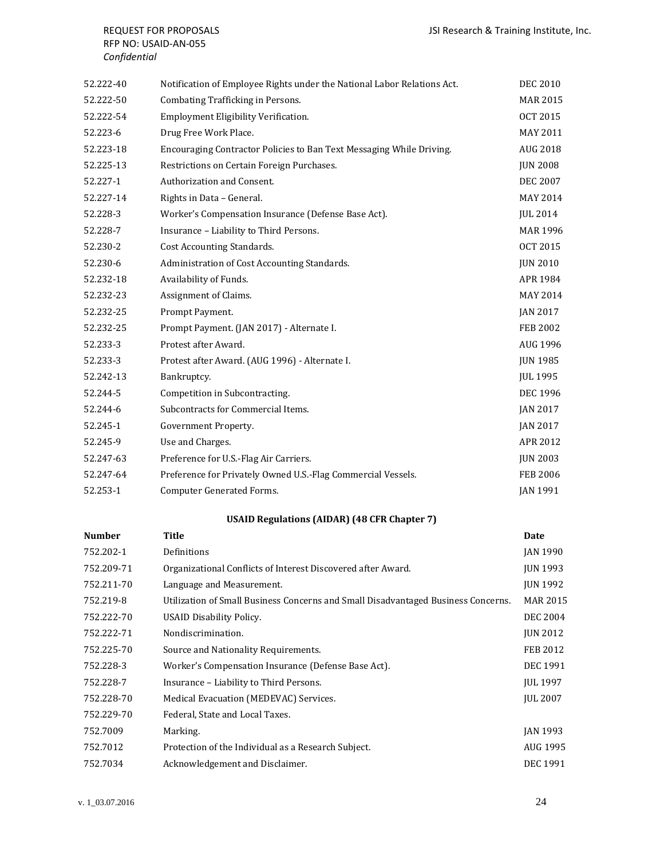| 52.222-40 | Notification of Employee Rights under the National Labor Relations Act. | <b>DEC 2010</b> |
|-----------|-------------------------------------------------------------------------|-----------------|
| 52.222-50 | Combating Trafficking in Persons.                                       | <b>MAR 2015</b> |
| 52.222-54 | Employment Eligibility Verification.                                    | <b>OCT 2015</b> |
| 52.223-6  | Drug Free Work Place.                                                   | MAY 2011        |
| 52.223-18 | Encouraging Contractor Policies to Ban Text Messaging While Driving.    | AUG 2018        |
| 52.225-13 | Restrictions on Certain Foreign Purchases.                              | <b>JUN 2008</b> |
| 52.227-1  | Authorization and Consent.                                              | <b>DEC 2007</b> |
| 52.227-14 | Rights in Data - General.                                               | <b>MAY 2014</b> |
| 52.228-3  | Worker's Compensation Insurance (Defense Base Act).                     | JUL 2014        |
| 52.228-7  | Insurance - Liability to Third Persons.                                 | <b>MAR 1996</b> |
| 52.230-2  | Cost Accounting Standards.                                              | <b>OCT 2015</b> |
| 52.230-6  | Administration of Cost Accounting Standards.                            | JUN 2010        |
| 52.232-18 | Availability of Funds.                                                  | APR 1984        |
| 52.232-23 | Assignment of Claims.                                                   | <b>MAY 2014</b> |
| 52.232-25 | Prompt Payment.                                                         | JAN 2017        |
| 52.232-25 | Prompt Payment. (JAN 2017) - Alternate I.                               | <b>FEB 2002</b> |
| 52.233-3  | Protest after Award.                                                    | AUG 1996        |
| 52.233-3  | Protest after Award. (AUG 1996) - Alternate I.                          | <b>JUN 1985</b> |
| 52.242-13 | Bankruptcy.                                                             | JUL 1995        |
| 52.244-5  | Competition in Subcontracting.                                          | <b>DEC 1996</b> |
| 52.244-6  | Subcontracts for Commercial Items.                                      | JAN 2017        |
| 52.245-1  | Government Property.                                                    | JAN 2017        |
| 52.245-9  | Use and Charges.                                                        | APR 2012        |
| 52.247-63 | Preference for U.S.-Flag Air Carriers.                                  | <b>JUN 2003</b> |
| 52.247-64 | Preference for Privately Owned U.S.-Flag Commercial Vessels.            | <b>FEB 2006</b> |
| 52.253-1  | <b>Computer Generated Forms.</b>                                        | JAN 1991        |
|           |                                                                         |                 |

### **USAID Regulations (AIDAR) (48 CFR Chapter 7)**

| <b>Number</b> | Title                                                                             | Date            |
|---------------|-----------------------------------------------------------------------------------|-----------------|
| 752.202-1     | Definitions                                                                       | JAN 1990        |
| 752.209-71    | Organizational Conflicts of Interest Discovered after Award.                      | <b>IUN 1993</b> |
| 752.211-70    | Language and Measurement.                                                         | <b>JUN 1992</b> |
| 752.219-8     | Utilization of Small Business Concerns and Small Disadvantaged Business Concerns. | <b>MAR 2015</b> |
| 752.222-70    | <b>USAID Disability Policy.</b>                                                   | <b>DEC 2004</b> |
| 752.222-71    | Nondiscrimination.                                                                | <b>JUN 2012</b> |
| 752.225-70    | Source and Nationality Requirements.                                              | FEB 2012        |
| 752.228-3     | Worker's Compensation Insurance (Defense Base Act).                               | DEC 1991        |
| 752.228-7     | Insurance – Liability to Third Persons.                                           | <b>IUL 1997</b> |
| 752.228-70    | Medical Evacuation (MEDEVAC) Services.                                            | <b>JUL 2007</b> |
| 752.229-70    | Federal, State and Local Taxes.                                                   |                 |
| 752.7009      | Marking.                                                                          | JAN 1993        |
| 752.7012      | Protection of the Individual as a Research Subject.                               | AUG 1995        |
| 752.7034      | Acknowledgement and Disclaimer.                                                   | DEC 1991        |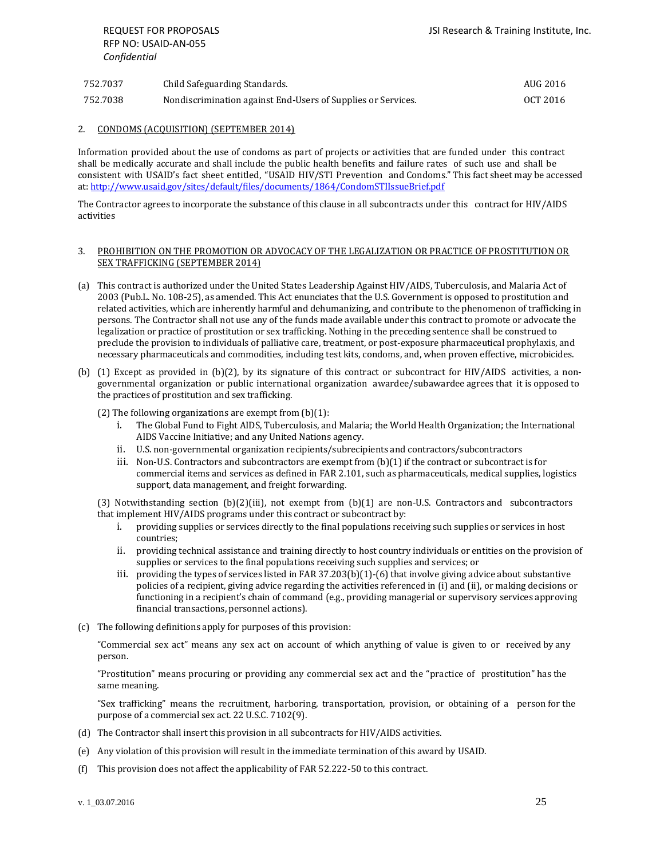| 752.7037 | Child Safeguarding Standards.                                | AUG 2016 |
|----------|--------------------------------------------------------------|----------|
| 752.7038 | Nondiscrimination against End-Users of Supplies or Services. | OCT 2016 |

### 2. CONDOMS (ACQUISITION) (SEPTEMBER 2014)

Information provided about the use of condoms as part of projects or activities that are funded under this contract shall be medically accurate and shall include the public health benefits and failure rates of such use and shall be consistent with USAID's fact sheet entitled, "USAID HIV/STI Prevention and Condoms." This fact sheet may be accessed at: <http://www.usaid.gov/sites/default/files/documents/1864/CondomSTIIssueBrief.pdf>

The Contractor agrees to incorporate the substance of this clause in all subcontracts under this contract for HIV/AIDS activities

### 3. PROHIBITION ON THE PROMOTION OR ADVOCACY OF THE LEGALIZATION OR PRACTICE OF PROSTITUTION OR SEX TRAFFICKING (SEPTEMBER 2014)

- (a) This contract is authorized under the United States Leadership Against HIV/AIDS, Tuberculosis, and Malaria Act of 2003 (Pub.L. No. 108-25), as amended. This Act enunciates that the U.S. Government is opposed to prostitution and related activities, which are inherently harmful and dehumanizing, and contribute to the phenomenon of trafficking in persons. The Contractor shall not use any of the funds made available under this contract to promote or advocate the legalization or practice of prostitution or sex trafficking. Nothing in the preceding sentence shall be construed to preclude the provision to individuals of palliative care, treatment, or post-exposure pharmaceutical prophylaxis, and necessary pharmaceuticals and commodities, including test kits, condoms, and, when proven effective, microbicides.
- (b) (1) Except as provided in (b)(2), by its signature of this contract or subcontract for HIV/AIDS activities, a nongovernmental organization or public international organization awardee/subawardee agrees that it is opposed to the practices of prostitution and sex trafficking.
	- (2) The following organizations are exempt from  $(b)(1)$ :
		- i. The Global Fund to Fight AIDS, Tuberculosis, and Malaria; the World Health Organization; the International AIDS Vaccine Initiative; and any United Nations agency.
		- ii. U.S. non-governmental organization recipients/subrecipients and contractors/subcontractors
		- iii. Non-U.S. Contractors and subcontractors are exempt from (b)(1) if the contract or subcontract is for commercial items and services as defined in FAR 2.101, such as pharmaceuticals, medical supplies, logistics support, data management, and freight forwarding.

(3) Notwithstanding section (b)(2)(iii), not exempt from (b)(1) are non-U.S. Contractors and subcontractors that implement HIV/AIDS programs under this contract or subcontract by:

- i. providing supplies or services directly to the final populations receiving such supplies or services in host countries;
- ii. providing technical assistance and training directly to host country individuals or entities on the provision of supplies or services to the final populations receiving such supplies and services; or
- iii. providing the types of services listed in FAR 37.203(b)(1)-(6) that involve giving advice about substantive policies of a recipient, giving advice regarding the activities referenced in (i) and (ii), or making decisions or functioning in a recipient's chain of command (e.g., providing managerial or supervisory services approving financial transactions, personnel actions).
- (c) The following definitions apply for purposes of this provision:

"Commercial sex act" means any sex act on account of which anything of value is given to or received by any person.

"Prostitution" means procuring or providing any commercial sex act and the "practice of prostitution" has the same meaning.

"Sex trafficking" means the recruitment, harboring, transportation, provision, or obtaining of a person for the purpose of a commercial sex act. 22 U.S.C. 7102(9).

- (d) The Contractor shall insert this provision in all subcontracts for HIV/AIDS activities.
- (e) Any violation of this provision will result in the immediate termination of this award by USAID.
- (f) This provision does not affect the applicability of FAR 52.222-50 to this contract.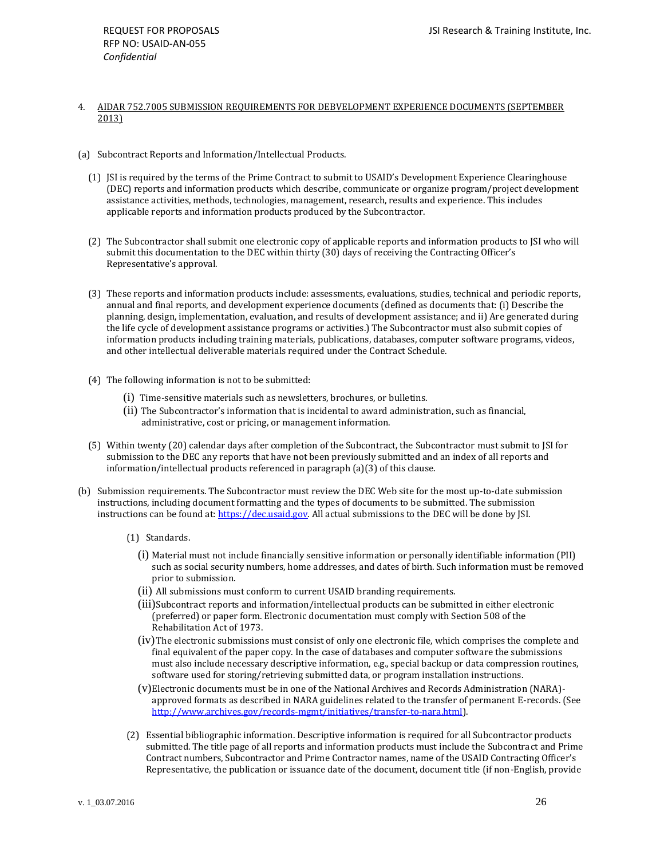### 4. AIDAR 752.7005 SUBMISSION REQUIREMENTS FOR DEBVELOPMENT EXPERIENCE DOCUMENTS (SEPTEMBER 2013)

- (a) Subcontract Reports and Information/Intellectual Products.
	- (1) JSI is required by the terms of the Prime Contract to submit to USAID's Development Experience Clearinghouse (DEC) reports and information products which describe, communicate or organize program/project development assistance activities, methods, technologies, management, research, results and experience. This includes applicable reports and information products produced by the Subcontractor.
	- (2) The Subcontractor shall submit one electronic copy of applicable reports and information products to JSI who will submit this documentation to the DEC within thirty (30) days of receiving the Contracting Officer's Representative's approval.
	- (3) These reports and information products include: assessments, evaluations, studies, technical and periodic reports, annual and final reports, and development experience documents (defined as documents that: (i) Describe the planning, design, implementation, evaluation, and results of development assistance; and ii) Are generated during the life cycle of development assistance programs or activities.) The Subcontractor must also submit copies of information products including training materials, publications, databases, computer software programs, videos, and other intellectual deliverable materials required under the Contract Schedule.
	- (4) The following information is not to be submitted:
		- (i) Time-sensitive materials such as newsletters, brochures, or bulletins.
		- (ii) The Subcontractor's information that is incidental to award administration, such as financial, administrative, cost or pricing, or management information.
	- (5) Within twenty (20) calendar days after completion of the Subcontract, the Subcontractor must submit to JSI for submission to the DEC any reports that have not been previously submitted and an index of all reports and information/intellectual products referenced in paragraph (a)(3) of this clause.
- (b) Submission requirements. The Subcontractor must review the DEC Web site for the most up-to-date submission instructions, including document formatting and the types of documents to be submitted. The submission instructions can be found at[: https://dec.usaid.gov.](https://dec.usaid.gov/) All actual submissions to the DEC will be done by JSI.
	- (1) Standards.
		- (i) Material must not include financially sensitive information or personally identifiable information (PII) such as social security numbers, home addresses, and dates of birth. Such information must be removed prior to submission.
		- (ii) All submissions must conform to current USAID branding requirements.
		- (iii)Subcontract reports and information/intellectual products can be submitted in either electronic (preferred) or paper form. Electronic documentation must comply with Section 508 of the Rehabilitation Act of 1973.
		- (iv)The electronic submissions must consist of only one electronic file, which comprises the complete and final equivalent of the paper copy. In the case of databases and computer software the submissions must also include necessary descriptive information, e.g., special backup or data compression routines, software used for storing/retrieving submitted data, or program installation instructions.
		- (v)Electronic documents must be in one of the National Archives and Records Administration (NARA) approved formats as described in NARA guidelines related to the transfer of permanent E-records. (See [http://www.archives.gov/records-mgmt/initiatives/transfer-to-nara.html\)](http://www.archives.gov/records-mgmt/initiatives/transfer-to-nara.html).
	- (2) Essential bibliographic information. Descriptive information is required for all Subcontractor products submitted. The title page of all reports and information products must include the Subcontract and Prime Contract numbers, Subcontractor and Prime Contractor names, name of the USAID Contracting Officer's Representative, the publication or issuance date of the document, document title (if non-English, provide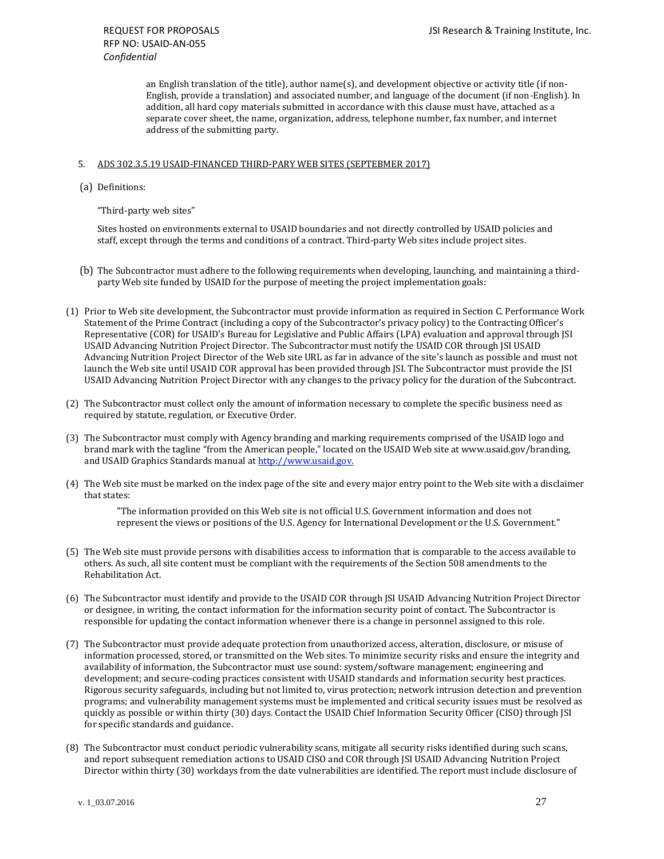> an English translation of the title), author  $name(s)$ , and development objective or activity title (if non-English, provide a translation) and associated number, and language of the document (if non-English). In addition, all hard copy materials submitted in accordance with this clause must have, attached as a separate cover sheet, the name, organization, address, telephone number, fax number, and internet address of the submitting party.

#### 5. ADS 302.3.5.19 USAID-FINANCED THIRD-PARY WEB SITES (SEPTEBMER 2017)

### (a) Definitions:

"Third-party web sites"

Sites hosted on environments external to USAID boundaries and not directly controlled by USAID policies and staff, except through the terms and conditions of a contract. Third-party Web sites include project sites.

- (b) The Subcontractor must adhere to the following requirements when developing, launching, and maintaining a thirdparty Web site funded by USAID for the purpose of meeting the project implementation goals:
- (1) Prior to Web site development, the Subcontractor must provide information as required in Section C. Performance Work Statement of the Prime Contract (including a copy of the Subcontractor's privacy policy) to the Contracting Officer's Representative (COR) for USAID's Bureau for Legislative and Public Affairs (LPA) evaluation and approval through JSI USAID Advancing Nutrition Project Director. The Subcontractor must notify the USAID COR through JSI USAID Advancing Nutrition Project Director of the Web site URL as far in advance of the site's launch as possible and must not launch the Web site until USAID COR approval has been provided through JSI. The Subcontractor must provide the JSI USAID Advancing Nutrition Project Director with any changes to the privacy policy for the duration of the Subcontract.
- (2) The Subcontractor must collect only the amount of information necessary to complete the specific business need as required by statute, regulation, or Executive Order.
- (3) The Subcontractor must comply with Agency branding and marking requirements comprised of the USAID logo and brand mark with the tagline "from the American people," located on the USAID Web site at [www.usaid.gov/branding,](http://www.usaid.gov/branding) and USAID Graphics Standards manual a[t http://www.usaid.gov.](http://www.usaid.gov./)
- (4) The Web site must be marked on the index page of the site and every major entry point to the Web site with a disclaimer that states:

"The information provided on this Web site is not official U.S. Government information and does not represent the views or positions of the U.S. Agency for International Development or the U.S. Government."

- (5) The Web site must provide persons with disabilities access to information that is comparable to the access available to others. As such, all site content must be compliant with the requirements of the Section 508 amendments to the Rehabilitation Act.
- (6) The Subcontractor must identify and provide to the USAID COR through JSI USAID Advancing Nutrition Project Director or designee, in writing, the contact information for the information security point of contact. The Subcontractor is responsible for updating the contact information whenever there is a change in personnel assigned to this role.
- (7) The Subcontractor must provide adequate protection from unauthorized access, alteration, disclosure, or misuse of information processed, stored, or transmitted on the Web sites. To minimize security risks and ensure the integrity and availability of information, the Subcontractor must use sound: system/software management; engineering and development; and secure-coding practices consistent with USAID standards and information security best practices. Rigorous security safeguards, including but not limited to, virus protection; network intrusion detection and prevention programs; and vulnerability management systems must be implemented and critical security issues must be resolved as quickly as possible or within thirty (30) days. Contact the USAID Chief Information Security Officer (CISO) through JSI for specific standards and guidance.
- (8) The Subcontractor must conduct periodic vulnerability scans, mitigate all security risks identified during such scans, and report subsequent remediation actions to USAID CISO and COR through JSI USAID Advancing Nutrition Project Director within thirty (30) workdays from the date vulnerabilities are identified. The report must include disclosure of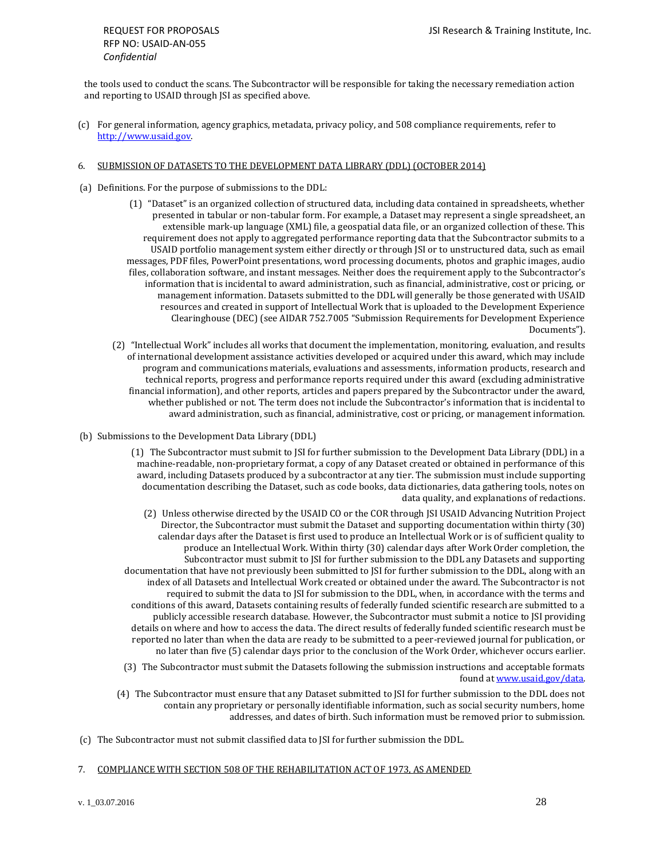the tools used to conduct the scans. The Subcontractor will be responsible for taking the necessary remediation action and reporting to USAID through JSI as specified above.

(c) For general information, agency graphics, metadata, privacy policy, and 508 compliance requirements, refer to [http://www.usaid.gov.](http://www.usaid.gov/)

### 6. SUBMISSION OF DATASETS TO THE DEVELOPMENT DATA LIBRARY (DDL) (OCTOBER 2014)

- (a) Definitions. For the purpose of submissions to the DDL:
	- (1) "Dataset" is an organized collection of structured data, including data contained in spreadsheets, whether presented in tabular or non-tabular form. For example, a Dataset may represent a single spreadsheet, an extensible mark-up language (XML) file, a geospatial data file, or an organized collection of these. This requirement does not apply to aggregated performance reporting data that the Subcontractor submits to a USAID portfolio management system either directly or through JSI or to unstructured data, such as email messages, PDF files, PowerPoint presentations, word processing documents, photos and graphic images, audio files, collaboration software, and instant messages. Neither does the requirement apply to the Subcontractor's information that is incidental to award administration, such as financial, administrative, cost or pricing, or management information. Datasets submitted to the DDL will generally be those generated with USAID resources and created in support of Intellectual Work that is uploaded to the Development Experience Clearinghouse (DEC) (see AIDAR 752.7005 "Submission Requirements for Development Experience Documents").
	- (2) "Intellectual Work" includes all works that document the implementation, monitoring, evaluation, and results of international development assistance activities developed or acquired under this award, which may include program and communications materials, evaluations and assessments, information products, research and technical reports, progress and performance reports required under this award (excluding administrative financial information), and other reports, articles and papers prepared by the Subcontractor under the award, whether published or not. The term does not include the Subcontractor's information that is incidental to award administration, such as financial, administrative, cost or pricing, or management information.
- (b) Submissions to the Development Data Library (DDL)

(1) The Subcontractor must submit to JSI for further submission to the Development Data Library (DDL) in a machine-readable, non-proprietary format, a copy of any Dataset created or obtained in performance of this award, including Datasets produced by a subcontractor at any tier. The submission must include supporting documentation describing the Dataset, such as code books, data dictionaries, data gathering tools, notes on data quality, and explanations of redactions.

(2) Unless otherwise directed by the USAID CO or the COR through JSI USAID Advancing Nutrition Project Director, the Subcontractor must submit the Dataset and supporting documentation within thirty (30) calendar days after the Dataset is first used to produce an Intellectual Work or is of sufficient quality to produce an Intellectual Work. Within thirty (30) calendar days after Work Order completion, the Subcontractor must submit to JSI for further submission to the DDL any Datasets and supporting documentation that have not previously been submitted to JSI for further submission to the DDL, along with an index of all Datasets and Intellectual Work created or obtained under the award. The Subcontractor is not required to submit the data to JSI for submission to the DDL, when, in accordance with the terms and conditions of this award, Datasets containing results of federally funded scientific research are submitted to a publicly accessible research database. However, the Subcontractor must submit a notice to JSI providing details on where and how to access the data. The direct results of federally funded scientific research must be reported no later than when the data are ready to be submitted to a peer-reviewed journal for publication, or no later than five (5) calendar days prior to the conclusion of the Work Order, whichever occurs earlier.

(3) The Subcontractor must submit the Datasets following the submission instructions and acceptable formats found a[t www.usaid.gov/data.](http://www.usaid.gov/data)

(4) The Subcontractor must ensure that any Dataset submitted to JSI for further submission to the DDL does not contain any proprietary or personally identifiable information, such as social security numbers, home addresses, and dates of birth. Such information must be removed prior to submission.

(c) The Subcontractor must not submit classified data to JSI for further submission the DDL.

### 7. COMPLIANCE WITH SECTION 508 OF THE REHABILITATION ACT OF 1973, AS AMENDED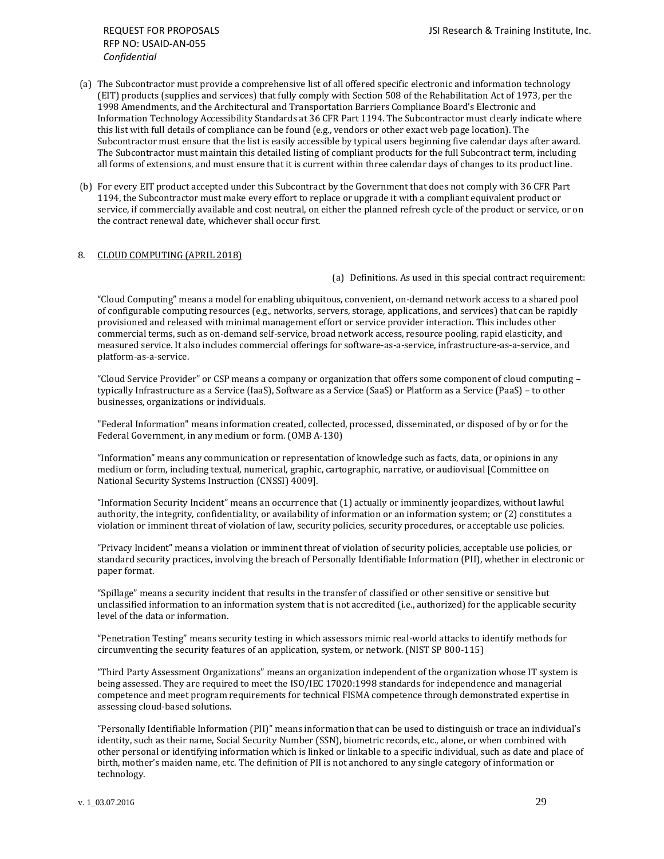- (a) The Subcontractor must provide a comprehensive list of all offered specific electronic and information technology (EIT) products (supplies and services) that fully comply with Section 508 of the Rehabilitation Act of 1973, per the 1998 Amendments, and the Architectural and Transportation Barriers Compliance Board's Electronic and Information Technology Accessibility Standards at 36 CFR Part 1194. The Subcontractor must clearly indicate where this list with full details of compliance can be found (e.g., vendors or other exact web page location). The Subcontractor must ensure that the list is easily accessible by typical users beginning five calendar days after award. The Subcontractor must maintain this detailed listing of compliant products for the full Subcontract term, including all forms of extensions, and must ensure that it is current within three calendar days of changes to its product line.
- (b) For every EIT product accepted under this Subcontract by the Government that does not comply with 36 CFR Part 1194, the Subcontractor must make every effort to replace or upgrade it with a compliant equivalent product or service, if commercially available and cost neutral, on either the planned refresh cycle of the product or service, or on the contract renewal date, whichever shall occur first.

### 8. CLOUD COMPUTING (APRIL 2018)

(a) Definitions. As used in this special contract requirement:

"Cloud Computing" means a model for enabling ubiquitous, convenient, on-demand network access to a shared pool of configurable computing resources (e.g., networks, servers, storage, applications, and services) that can be rapidly provisioned and released with minimal management effort or service provider interaction. This includes other commercial terms, such as on-demand self-service, broad network access, resource pooling, rapid elasticity, and measured service. It also includes commercial offerings for software-as-a-service, infrastructure-as-a-service, and platform-as-a-service.

"Cloud Service Provider" or CSP means a company or organization that offers some component of cloud computing – typically Infrastructure as a Service (IaaS), Software as a Service (SaaS) or Platform as a Service (PaaS) – to other businesses, organizations or individuals.

"Federal Information" means information created, collected, processed, disseminated, or disposed of by or for the Federal Government, in any medium or form. (OMB A-130)

"Information" means any communication or representation of knowledge such as facts, data, or opinions in any medium or form, including textual, numerical, graphic, cartographic, narrative, or audiovisual [Committee on National Security Systems Instruction (CNSSI) 4009].

"Information Security Incident" means an occurrence that (1) actually or imminently jeopardizes, without lawful authority, the integrity, confidentiality, or availability of information or an information system; or (2) constitutes a violation or imminent threat of violation of law, security policies, security procedures, or acceptable use policies.

"Privacy Incident" means a violation or imminent threat of violation of security policies, acceptable use policies, or standard security practices, involving the breach of Personally Identifiable Information (PII), whether in electronic or paper format.

"Spillage" means a security incident that results in the transfer of classified or other sensitive or sensitive but unclassified information to an information system that is not accredited (i.e., authorized) for the applicable security level of the data or information.

"Penetration Testing" means security testing in which assessors mimic real-world attacks to identify methods for circumventing the security features of an application, system, or network. (NIST SP 800-115)

"Third Party Assessment Organizations" means an organization independent of the organization whose IT system is being assessed. They are required to meet the ISO/IEC 17020:1998 standards for independence and managerial competence and meet program requirements for technical FISMA competence through demonstrated expertise in assessing cloud-based solutions.

"Personally Identifiable Information (PII)" means information that can be used to distinguish or trace an individual's identity, such as their name, Social Security Number (SSN), biometric records, etc., alone, or when combined with other personal or identifying information which is linked or linkable to a specific individual, such as date and place of birth, mother's maiden name, etc. The definition of PII is not anchored to any single category of information or technology.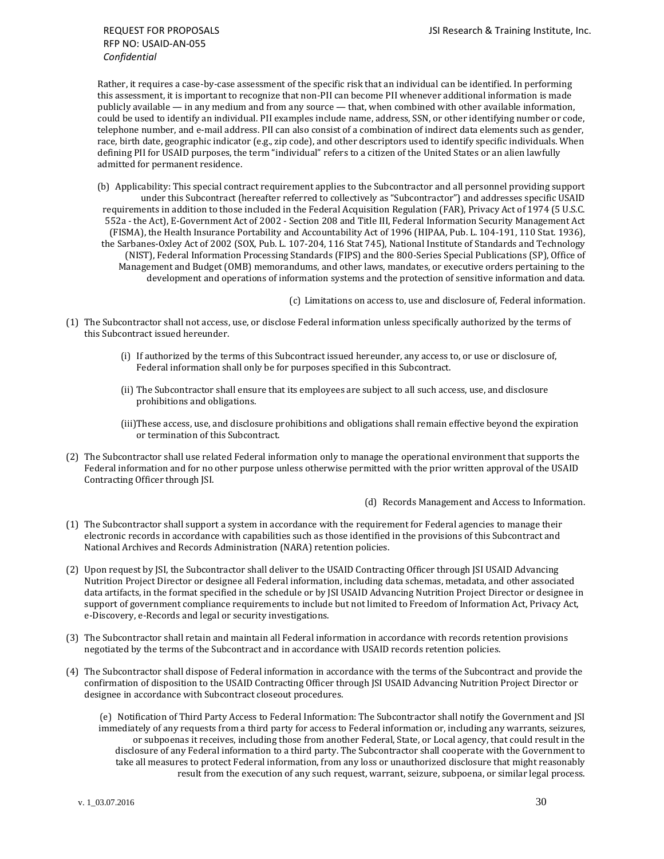Rather, it requires a case-by-case assessment of the specific risk that an individual can be identified. In performing this assessment, it is important to recognize that non-PII can become PII whenever additional information is made publicly available — in any medium and from any source — that, when combined with other available information, could be used to identify an individual. PII examples include name, address, SSN, or other identifying number or code, telephone number, and e-mail address. PII can also consist of a combination of indirect data elements such as gender, race, birth date, geographic indicator (e.g., zip code), and other descriptors used to identify specific individuals. When defining PII for USAID purposes, the term "individual" refers to a citizen of the United States or an alien lawfully admitted for permanent residence.

(b) Applicability: This special contract requirement applies to the Subcontractor and all personnel providing support under this Subcontract (hereafter referred to collectively as "Subcontractor") and addresses specific USAID requirements in addition to those included in the Federal Acquisition Regulation (FAR), Privacy Act of 1974 (5 U.S.C. 552a - the Act), E-Government Act of 2002 - Section 208 and Title III, Federal Information Security Management Act (FISMA), the Health Insurance Portability and Accountability Act of 1996 (HIPAA, Pub. L. 104-191, 110 Stat. 1936), the Sarbanes-Oxley Act of 2002 (SOX, Pub. L. 107-204, 116 Stat 745), National Institute of Standards and Technology (NIST), Federal Information Processing Standards (FIPS) and the 800-Series Special Publications (SP), Office of Management and Budget (OMB) memorandums, and other laws, mandates, or executive orders pertaining to the development and operations of information systems and the protection of sensitive information and data.

(c) Limitations on access to, use and disclosure of, Federal information.

- (1) The Subcontractor shall not access, use, or disclose Federal information unless specifically authorized by the terms of this Subcontract issued hereunder.
	- (i) If authorized by the terms of this Subcontract issued hereunder, any access to, or use or disclosure of, Federal information shall only be for purposes specified in this Subcontract.
	- (ii) The Subcontractor shall ensure that its employees are subject to all such access, use, and disclosure prohibitions and obligations.
	- (iii)These access, use, and disclosure prohibitions and obligations shall remain effective beyond the expiration or termination of this Subcontract.
- (2) The Subcontractor shall use related Federal information only to manage the operational environment that supports the Federal information and for no other purpose unless otherwise permitted with the prior written approval of the USAID Contracting Officer through JSI.

(d) Records Management and Access to Information.

- (1) The Subcontractor shall support a system in accordance with the requirement for Federal agencies to manage their electronic records in accordance with capabilities such as those identified in the provisions of this Subcontract and National Archives and Records Administration (NARA) retention policies.
- (2) Upon request by JSI, the Subcontractor shall deliver to the USAID Contracting Officer through JSI USAID Advancing Nutrition Project Director or designee all Federal information, including data schemas, metadata, and other associated data artifacts, in the format specified in the schedule or by JSI USAID Advancing Nutrition Project Director or designee in support of government compliance requirements to include but not limited to Freedom of Information Act, Privacy Act, e-Discovery, e-Records and legal or security investigations.
- (3) The Subcontractor shall retain and maintain all Federal information in accordance with records retention provisions negotiated by the terms of the Subcontract and in accordance with USAID records retention policies.
- (4) The Subcontractor shall dispose of Federal information in accordance with the terms of the Subcontract and provide the confirmation of disposition to the USAID Contracting Officer through JSI USAID Advancing Nutrition Project Director or designee in accordance with Subcontract closeout procedures.

(e) Notification of Third Party Access to Federal Information: The Subcontractor shall notify the Government and JSI immediately of any requests from a third party for access to Federal information or, including any warrants, seizures, or subpoenas it receives, including those from another Federal, State, or Local agency, that could result in the disclosure of any Federal information to a third party. The Subcontractor shall cooperate with the Government to take all measures to protect Federal information, from any loss or unauthorized disclosure that might reasonably result from the execution of any such request, warrant, seizure, subpoena, or similar legal process.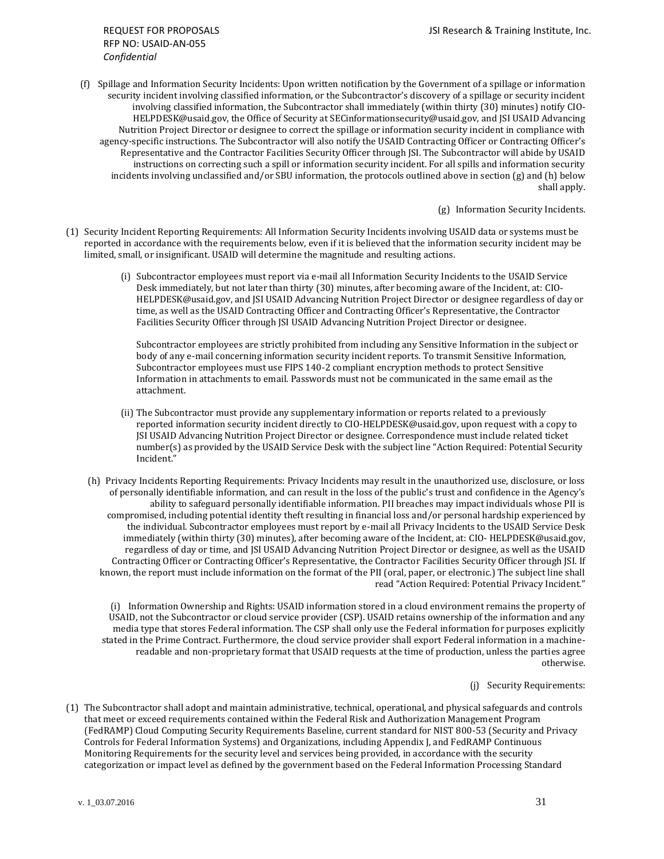(f) Spillage and Information Security Incidents: Upon written notification by the Government of a spillage or information security incident involving classified information, or the Subcontractor's discovery of a spillage or security incident involving classified information, the Subcontractor shall immediately (within thirty (30) minutes) notif[y CIO-](mailto:CIO-HELPDESK@usaid.gov)[HELPDESK@usaid.gov,](mailto:CIO-HELPDESK@usaid.gov) the Office of Security a[t SECinformationsecurity@usaid.gov,](mailto:SECinformationsecurity@usaid.gov) and JSI USAID Advancing Nutrition Project Director or designee to correct the spillage or information security incident in compliance with agency-specific instructions. The Subcontractor will also notify the USAID Contracting Officer or Contracting Officer's Representative and the Contractor Facilities Security Officer through JSI. The Subcontractor will abide by USAID instructions on correcting such a spill or information security incident. For all spills and information security incidents involving unclassified and/or SBU information, the protocols outlined above in section (g) and (h) below shall apply.

(g) Information Security Incidents.

- (1) Security Incident Reporting Requirements: All Information Security Incidents involving USAID data or systems must be reported in accordance with the requirements below, even if it is believed that the information security incident may be limited, small, or insignificant. USAID will determine the magnitude and resulting actions.
	- (i) Subcontractor employees must report via e-mail all Information Security Incidents to the USAID Service Desk immediately, but not later than thirty (30) minutes, after becoming aware of the Incident, at[: CIO-](mailto:CIO-HELPDESK@usaid.gov)[HELPDESK@usaid.gov,](mailto:CIO-HELPDESK@usaid.gov) and JSI USAID Advancing Nutrition Project Director or designee regardless of day or time, as well as the USAID Contracting Officer and Contracting Officer's Representative, the Contractor Facilities Security Officer through JSI USAID Advancing Nutrition Project Director or designee.

Subcontractor employees are strictly prohibited from including any Sensitive Information in the subject or body of any e-mail concerning information security incident reports. To transmit Sensitive Information, Subcontractor employees must use FIPS 140-2 compliant encryption methods to protect Sensitive Information in attachments to email. Passwords must not be communicated in the same email as the attachment.

- (ii) The Subcontractor must provide any supplementary information or reports related to a previously reported information security incident directly to [CIO-HELPDESK@usaid.gov,](mailto:CIO-HELPDESK@usaid.gov) upon request with a copy to JSI USAID Advancing Nutrition Project Director or designee. Correspondence must include related ticket number(s) as provided by the USAID Service Desk with the subject line "Action Required: Potential Security Incident."
- (h) Privacy Incidents Reporting Requirements: Privacy Incidents may result in the unauthorized use, disclosure, or loss of personally identifiable information, and can result in the loss of the public's trust and confidence in the Agency's ability to safeguard personally identifiable information. PII breaches may impact individuals whose PII is compromised, including potential identity theft resulting in financial loss and/or personal hardship experienced by the individual. Subcontractor employees must report by e-mail all Privacy Incidents to the USAID Service Desk immediately (within thirty (30) minutes), after becoming aware of the Incident, at: CIO- [HELPDESK@usaid.gov,](mailto:HELPDESK@usaid.gov) regardless of day or time, and JSI USAID Advancing Nutrition Project Director or designee, as well as the USAID Contracting Officer or Contracting Officer's Representative, the Contractor Facilities Security Officer through JSI. If known, the report must include information on the format of the PII (oral, paper, or electronic.) The subject line shall read "Action Required: Potential Privacy Incident."

(i) Information Ownership and Rights: USAID information stored in a cloud environment remains the property of USAID, not the Subcontractor or cloud service provider (CSP). USAID retains ownership of the information and any media type that stores Federal information. The CSP shall only use the Federal information for purposes explicitly stated in the Prime Contract. Furthermore, the cloud service provider shall export Federal information in a machinereadable and non-proprietary format that USAID requests at the time of production, unless the parties agree otherwise.

(j) Security Requirements:

(1) The Subcontractor shall adopt and maintain administrative, technical, operational, and physical safeguards and controls that meet or exceed requirements contained within the Federal Risk and Authorization Management Program (FedRAMP) Cloud Computing Security Requirements Baseline, current standard for NIST 800-53 (Security and Privacy Controls for Federal Information Systems) and Organizations, including Appendix J, and FedRAMP Continuous Monitoring Requirements for the security level and services being provided, in accordance with the security categorization or impact level as defined by the government based on the Federal Information Processing Standard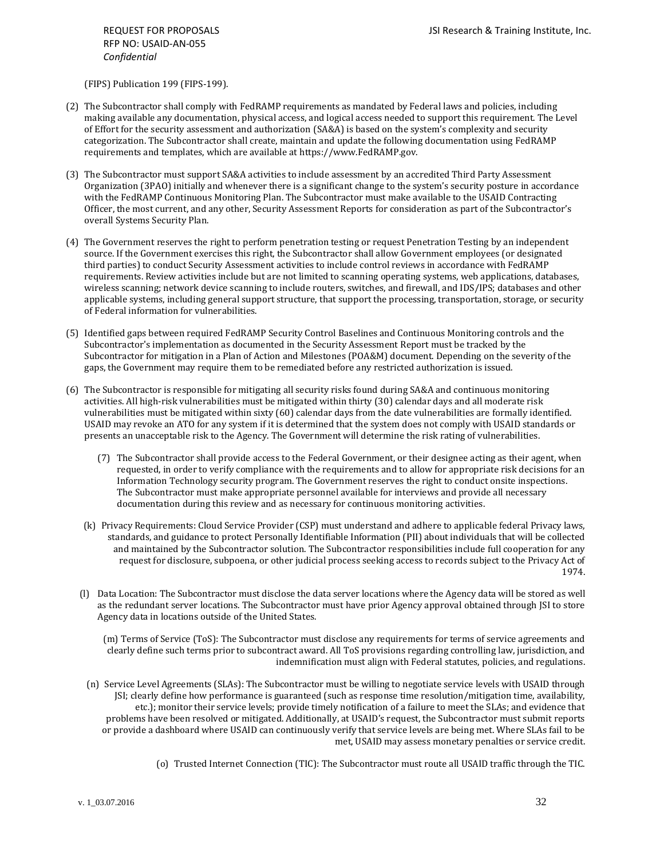(FIPS) Publication 199 (FIPS-199).

- (2) The Subcontractor shall comply with FedRAMP requirements as mandated by Federal laws and policies, including making available any documentation, physical access, and logical access needed to support this requirement. The Level of Effort for the security assessment and authorization (SA&A) is based on the system's complexity and security categorization. The Subcontractor shall create, maintain and update the following documentation using FedRAMP requirements and templates, which are available a[t https://www.FedRAMP.gov.](http://www.fedramp.gov/)
- (3) The Subcontractor must support SA&A activities to include assessment by an accredited Third Party Assessment Organization (3PAO) initially and whenever there is a significant change to the system's security posture in accordance with the FedRAMP Continuous Monitoring Plan. The Subcontractor must make available to the USAID Contracting Officer, the most current, and any other, Security Assessment Reports for consideration as part of the Subcontractor's overall Systems Security Plan.
- (4) The Government reserves the right to perform penetration testing or request Penetration Testing by an independent source. If the Government exercises this right, the Subcontractor shall allow Government employees (or designated third parties) to conduct Security Assessment activities to include control reviews in accordance with FedRAMP requirements. Review activities include but are not limited to scanning operating systems, web applications, databases, wireless scanning; network device scanning to include routers, switches, and firewall, and IDS/IPS; databases and other applicable systems, including general support structure, that support the processing, transportation, storage, or security of Federal information for vulnerabilities.
- (5) Identified gaps between required FedRAMP Security Control Baselines and Continuous Monitoring controls and the Subcontractor's implementation as documented in the Security Assessment Report must be tracked by the Subcontractor for mitigation in a Plan of Action and Milestones (POA&M) document. Depending on the severity of the gaps, the Government may require them to be remediated before any restricted authorization is issued.
- (6) The Subcontractor is responsible for mitigating all security risks found during SA&A and continuous monitoring activities. All high-risk vulnerabilities must be mitigated within thirty (30) calendar days and all moderate risk vulnerabilities must be mitigated within sixty (60) calendar days from the date vulnerabilities are formally identified. USAID may revoke an ATO for any system if it is determined that the system does not comply with USAID standards or presents an unacceptable risk to the Agency. The Government will determine the risk rating of vulnerabilities.
	- (7) The Subcontractor shall provide access to the Federal Government, or their designee acting as their agent, when requested, in order to verify compliance with the requirements and to allow for appropriate risk decisions for an Information Technology security program. The Government reserves the right to conduct onsite inspections. The Subcontractor must make appropriate personnel available for interviews and provide all necessary documentation during this review and as necessary for continuous monitoring activities.
	- (k) Privacy Requirements: Cloud Service Provider (CSP) must understand and adhere to applicable federal Privacy laws, standards, and guidance to protect Personally Identifiable Information (PII) about individuals that will be collected and maintained by the Subcontractor solution. The Subcontractor responsibilities include full cooperation for any request for disclosure, subpoena, or other judicial process seeking access to records subject to the Privacy Act of 1974.
	- (l) Data Location: The Subcontractor must disclose the data server locations where the Agency data will be stored as well as the redundant server locations. The Subcontractor must have prior Agency approval obtained through JSI to store Agency data in locations outside of the United States.

(m) Terms of Service (ToS): The Subcontractor must disclose any requirements for terms of service agreements and clearly define such terms prior to subcontract award. All ToS provisions regarding controlling law, jurisdiction, and indemnification must align with Federal statutes, policies, and regulations.

(n) Service Level Agreements (SLAs): The Subcontractor must be willing to negotiate service levels with USAID through JSI; clearly define how performance is guaranteed (such as response time resolution/mitigation time, availability, etc.); monitor their service levels; provide timely notification of a failure to meet the SLAs; and evidence that problems have been resolved or mitigated. Additionally, at USAID's request, the Subcontractor must submit reports or provide a dashboard where USAID can continuously verify that service levels are being met. Where SLAs fail to be met, USAID may assess monetary penalties or service credit.

(o) Trusted Internet Connection (TIC): The Subcontractor must route all USAID traffic through the TIC.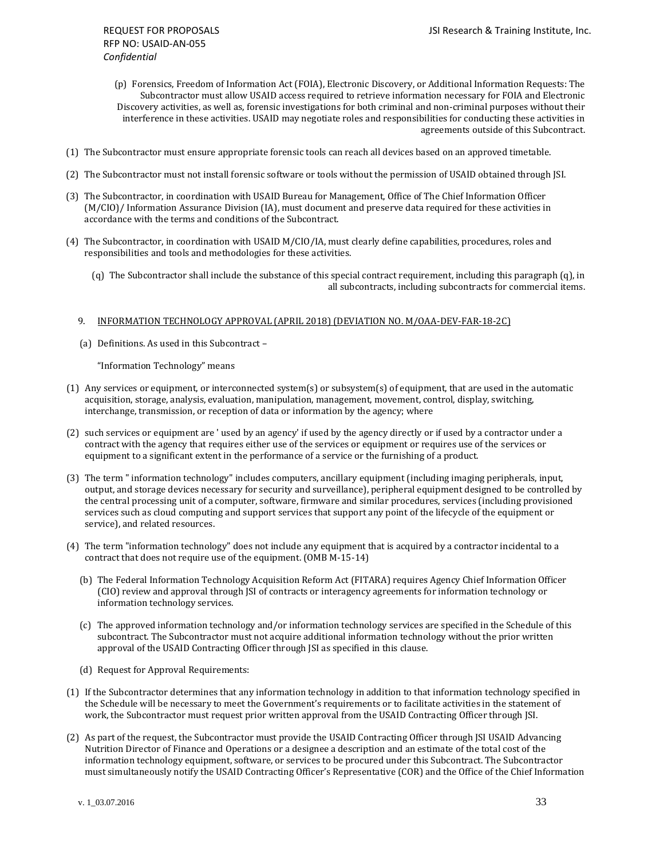- (p) Forensics, Freedom of Information Act (FOIA), Electronic Discovery, or Additional Information Requests: The Subcontractor must allow USAID access required to retrieve information necessary for FOIA and Electronic Discovery activities, as well as, forensic investigations for both criminal and non-criminal purposes without their interference in these activities. USAID may negotiate roles and responsibilities for conducting these activities in agreements outside of this Subcontract.
- (1) The Subcontractor must ensure appropriate forensic tools can reach all devices based on an approved timetable.
- (2) The Subcontractor must not install forensic software or tools without the permission of USAID obtained through JSI.
- (3) The Subcontractor, in coordination with USAID Bureau for Management, Office of The Chief Information Officer (M/CIO)/ Information Assurance Division (IA), must document and preserve data required for these activities in accordance with the terms and conditions of the Subcontract.
- (4) The Subcontractor, in coordination with USAID M/CIO/IA, must clearly define capabilities, procedures, roles and responsibilities and tools and methodologies for these activities.
	- (q) The Subcontractor shall include the substance of this special contract requirement, including this paragraph (q), in all subcontracts, including subcontracts for commercial items.

### 9. INFORMATION TECHNOLOGY APPROVAL (APRIL 2018) (DEVIATION NO. M/OAA-DEV-FAR-18-2C)

(a) Definitions. As used in this Subcontract –

"Information Technology" means

- (1) Any services or equipment, or interconnected system(s) or subsystem(s) of equipment, that are used in the automatic acquisition, storage, analysis, evaluation, manipulation, management, movement, control, display, switching, interchange, transmission, or reception of data or information by the agency; where
- (2) such services or equipment are ' used by an agency' if used by the agency directly or if used by a contractor under a contract with the agency that requires either use of the services or equipment or requires use of the services or equipment to a significant extent in the performance of a service or the furnishing of a product.
- (3) The term " information technology" includes computers, ancillary equipment (including imaging peripherals, input, output, and storage devices necessary for security and surveillance), peripheral equipment designed to be controlled by the central processing unit of a computer, software, firmware and similar procedures, services (including provisioned services such as cloud computing and support services that support any point of the lifecycle of the equipment or service), and related resources.
- (4) The term "information technology" does not include any equipment that is acquired by a contractor incidental to a contract that does not require use of the equipment. (OMB M-15-14)
	- (b) The Federal Information Technology Acquisition Reform Act (FITARA) requires Agency Chief Information Officer (CIO) review and approval through JSI of contracts or interagency agreements for information technology or information technology services.
	- (c) The approved information technology and/or information technology services are specified in the Schedule of this subcontract. The Subcontractor must not acquire additional information technology without the prior written approval of the USAID Contracting Officer through JSI as specified in this clause.
	- (d) Request for Approval Requirements:
- (1) If the Subcontractor determines that any information technology in addition to that information technology specified in the Schedule will be necessary to meet the Government's requirements or to facilitate activities in the statement of work, the Subcontractor must request prior written approval from the USAID Contracting Officer through JSI.
- (2) As part of the request, the Subcontractor must provide the USAID Contracting Officer through JSI USAID Advancing Nutrition Director of Finance and Operations or a designee a description and an estimate of the total cost of the information technology equipment, software, or services to be procured under this Subcontract. The Subcontractor must simultaneously notify the USAID Contracting Officer's Representative (COR) and the Office of the Chief Information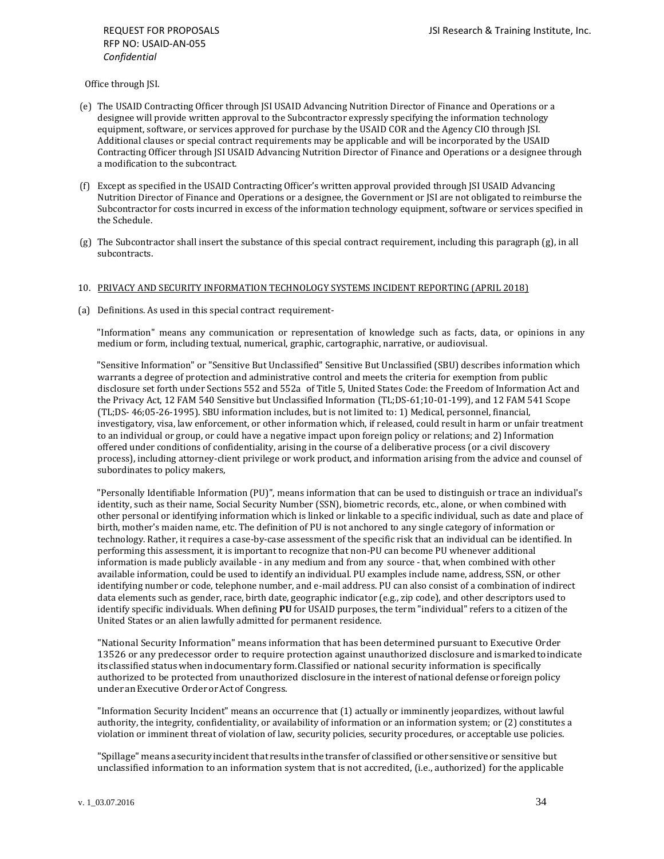Office through JSI.

- (e) The USAID Contracting Officer through JSI USAID Advancing Nutrition Director of Finance and Operations or a designee will provide written approval to the Subcontractor expressly specifying the information technology equipment, software, or services approved for purchase by the USAID COR and the Agency CIO through JSI. Additional clauses or special contract requirements may be applicable and will be incorporated by the USAID Contracting Officer through JSI USAID Advancing Nutrition Director of Finance and Operations or a designee through a modification to the subcontract.
- (f) Except as specified in the USAID Contracting Officer's written approval provided through JSI USAID Advancing Nutrition Director of Finance and Operations or a designee, the Government or JSI are not obligated to reimburse the Subcontractor for costs incurred in excess of the information technology equipment, software or services specified in the Schedule.
- (g) The Subcontractor shall insert the substance of this special contract requirement, including this paragraph (g), in all subcontracts.

### 10. PRIVACY AND SECURITY INFORMATION TECHNOLOGY SYSTEMS INCIDENT REPORTING (APRIL 2018)

(a) Definitions. As used in this special contract requirement-

"Information" means any communication or representation of knowledge such as facts, data, or opinions in any medium or form, including textual, numerical, graphic, cartographic, narrative, or audiovisual.

"Sensitive Information" or "Sensitive But Unclassified" Sensitive But Unclassified (SBU) describes information which warrants a degree of protection and administrative control and meets the criteria for exemption from public disclosure set forth under Sections 552 and 552a of Title 5, United States Code: the Freedom of Information Act and the Privacy Act, 12 FAM 540 Sensitive but Unclassified Information (TL;DS-61;10-01-199), and 12 FAM 541 Scope (TL;DS- 46;05-26-1995). SBU information includes, but is not limited to: 1) Medical, personnel, financial, investigatory, visa, law enforcement, or other information which, if released, could result in harm or unfair treatment to an individual or group, or could have a negative impact upon foreign policy or relations; and 2) Information offered under conditions of confidentiality, arising in the course of a deliberative process (or a civil discovery process), including attorney-client privilege or work product, and information arising from the advice and counsel of subordinates to policy makers,

"Personally Identifiable Information (PU)", means information that can be used to distinguish or trace an individual's identity, such as their name, Social Security Number (SSN), biometric records, etc., alone, or when combined with other personal or identifying information which is linked or linkable to a specific individual, such as date and place of birth, mother's maiden name, etc. The definition of PU is not anchored to any single category of information or technology. Rather, it requires a case-by-case assessment of the specific risk that an individual can be identified. In performing this assessment, it is important to recognize that non-PU can become PU whenever additional information is made publicly available - in any medium and from any source - that, when combined with other available information, could be used to identify an individual. PU examples include name, address, SSN, or other identifying number or code, telephone number, and e-mail address. PU can also consist of a combination of indirect data elements such as gender, race, birth date, geographic indicator (e.g., zip code), and other descriptors used to identify specific individuals. When defining **PU** for USAID purposes, the term "individual" refers to a citizen of the United States or an alien lawfully admitted for permanent residence.

"National Security Information" means information that has been determined pursuant to Executive Order 13526 or any predecessor order to require protection against unauthorized disclosure andismarkedtoindicate its classified status when in documentary form. Classified or national security information is specifically authorized to be protected from unauthorized disclosure inthe interest ofnational defense orforeign policy under anExecutive Order orActof Congress.

"Information Security Incident" means an occurrence that (1) actually or imminently jeopardizes, without lawful authority, the integrity, confidentiality, or availability of information or an information system; or (2) constitutes a violation or imminent threat of violation of law, security policies, security procedures, or acceptable use policies.

"Spillage" means asecurityincident that results inthe transfer of classified orother sensitive or sensitive but unclassified information to an information system that is not accredited, (i.e., authorized) for the applicable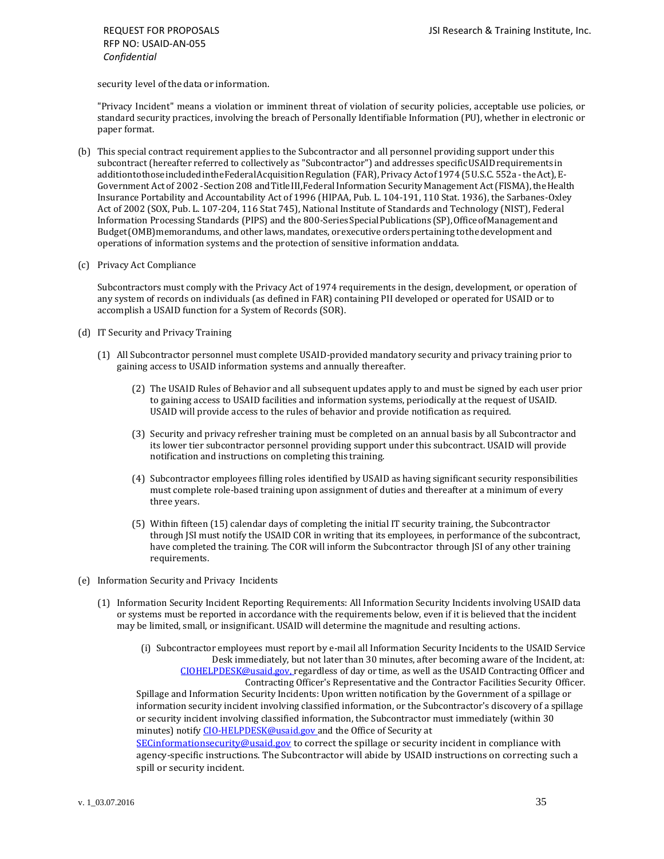security level of the data or information.

"Privacy Incident" means a violation or imminent threat of violation of security policies, acceptable use policies, or standard security practices, involving the breach of Personally Identifiable Information (PU), whether in electronic or paper format.

- (b) This special contract requirement applies to the Subcontractor and all personnel providing support under this subcontract (hereafter referred to collectively as "Subcontractor") and addresses specific USAID requirements in additiontothose included in the Federal Acquisition Regulation (FAR), Privacy Actof 1974 (5U.S.C. 552a - the Act), E-Government Act of 2002 - Section 208 and Title III, Federal Information Security Management Act (FISMA), the Health Insurance Portability and Accountability Act of 1996 (HIPAA, Pub. L. 104-191, 110 Stat. 1936), the Sarbanes-Oxley Act of 2002 (SOX, Pub. L. 107-204, 116 Stat 745), National Institute of Standards and Technology (NIST), Federal Information Processing Standards (PIPS) and the 800-SeriesSpecialPublications (SP),OfficeofManagementand Budget(OMB)memorandums, andother laws, mandates, orexecutive orderspertaining tothedevelopment and operations of information systems and the protection of sensitive information anddata.
- (c) Privacy Act Compliance

Subcontractors must comply with the Privacy Act of 1974 requirements in the design, development, or operation of any system of records on individuals (as defined in FAR) containing PII developed or operated for USAID or to accomplish a USAID function for a System of Records (SOR).

- (d) IT Security and Privacy Training
	- (1) All Subcontractor personnel must complete USAID-provided mandatory security and privacy training prior to gaining access to USAID information systems and annually thereafter.
		- (2) The USAID Rules of Behavior and all subsequent updates apply to and must be signed by each user prior to gaining access to USAID facilities and information systems, periodically at the request of USAID. USAID will provide access to the rules of behavior and provide notification as required.
		- (3) Security and privacy refresher training must be completed on an annual basis by all Subcontractor and its lower tier subcontractor personnel providing support under this subcontract. USAID will provide notification and instructions on completing this training.
		- (4) Subcontractor employees filling roles identified by USAID as having significant security responsibilities must complete role-based training upon assignment of duties and thereafter at a minimum of every three years.
		- (5) Within fifteen (15) calendar days of completing the initial IT security training, the Subcontractor through JSI must notify the USAID COR in writing that its employees, in performance of the subcontract, have completed the training. The COR will inform the Subcontractor through JSI of any other training requirements.
- (e) Information Security and Privacy Incidents
	- (1) Information Security Incident Reporting Requirements: All Information Security Incidents involving USAID data or systems must be reported in accordance with the requirements below, even if it is believed that the incident may be limited, small, or insignificant. USAID will determine the magnitude and resulting actions.

(i) Subcontractor employees must report by e-mail all Information Security Incidents to the USAID Service Desk immediately, but not later than 30 minutes, after becoming aware of the Incident, at: [CIOHELPDESK@usaid.gov, r](mailto:CIOHELPDESK@usaid.gov,)egardless of day or time, as well as the USAID Contracting Officer and Contracting Officer's Representative and the Contractor Facilities Security Officer. Spillage and Information Security Incidents: Upon written notification by the Government of a spillage or information security incident involving classified information, or the Subcontractor's discovery of a spillage or security incident involving classified information, the Subcontractor must immediately (within 30 minutes) notif[y CIO-HELPDESK@usaid.gov a](mailto:CIO-HELPDESK@usaid.gov)nd the Office of Security at [SECinformationsecurity@usaid.gov](mailto:SECinformationsecurity@usaid.gov) to correct the spillage or security incident in compliance with agency-specific instructions. The Subcontractor will abide by USAID instructions on correcting such a spill or security incident.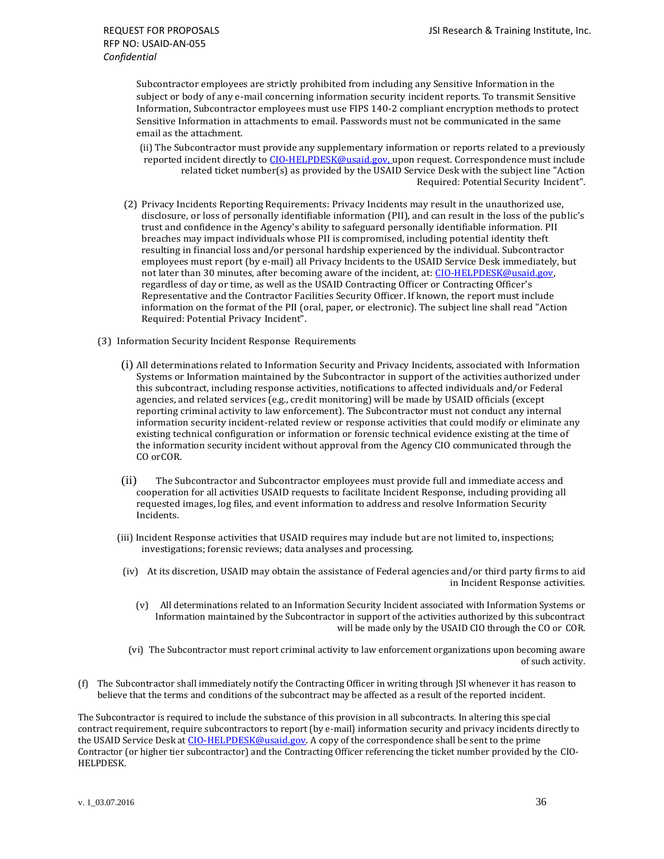Subcontractor employees are strictly prohibited from including any Sensitive Information in the subject or body of any e-mail concerning information security incident reports. To transmit Sensitive Information, Subcontractor employees must use FIPS 140-2 compliant encryption methods to protect Sensitive Information in attachments to email. Passwords must not be communicated in the same email as the attachment.

(ii) The Subcontractor must provide any supplementary information or reports related to a previously reported incident directly to [CIO-HELPDESK@usaid.gov, u](mailto:CIO-HELPDESK@usaid.gov,)pon request. Correspondence must include related ticket number(s) as provided by the USAID Service Desk with the subject line "Action Required: Potential Security Incident".

- (2) Privacy Incidents Reporting Requirements: Privacy Incidents may result in the unauthorized use, disclosure, or loss of personally identifiable information (PII), and can result in the loss of the public's trust and confidence in the Agency's ability to safeguard personally identifiable information. PII breaches may impact individuals whose PII is compromised, including potential identity theft resulting in financial loss and/or personal hardship experienced by the individual. Subcontractor employees must report (by e-mail) all Privacy Incidents to the USAID Service Desk immediately, but not later than 30 minutes, after becoming aware of the incident, at: CIO-HELPDESK@usaid.gov, regardless of day or time, as well as the USAID Contracting Officer or Contracting Officer's Representative and the Contractor Facilities Security Officer. If known, the report must include information on the format of the PII (oral, paper, or electronic). The subject line shall read "Action Required: Potential Privacy Incident".
- (3) Information Security Incident Response Requirements
	- (i) All determinations related to Information Security and Privacy Incidents, associated with Information Systems or Information maintained by the Subcontractor in support of the activities authorized under this subcontract, including response activities, notifications to affected individuals and/or Federal agencies, and related services (e.g., credit monitoring) will be made by USAID officials (except reporting criminal activity to law enforcement). The Subcontractor must not conduct any internal information security incident-related review or response activities that could modify or eliminate any existing technical configuration or information or forensic technical evidence existing at the time of the information security incident without approval from the Agency CIO communicated through the CO orCOR.
	- (ii) The Subcontractor and Subcontractor employees must provide full and immediate access and cooperation for all activities USAID requests to facilitate Incident Response, including providing all requested images, log files, and event information to address and resolve Information Security Incidents.
	- (iii) Incident Response activities that USAID requires may include but are not limited to, inspections; investigations; forensic reviews; data analyses and processing.
	- (iv) At its discretion, USAID may obtain the assistance of Federal agencies and/or third party firms to aid in Incident Response activities.
		- (v) All determinations related to an Information Security Incident associated with Information Systems or Information maintained by the Subcontractor in support of the activities authorized by this subcontract will be made only by the USAID CIO through the CO or COR.

(vi) The Subcontractor must report criminal activity to law enforcement organizations upon becoming aware of such activity.

(f) The Subcontractor shall immediately notify the Contracting Officer in writing through JSI whenever it has reason to believe that the terms and conditions of the subcontract may be affected as a result of the reported incident.

The Subcontractor is required to include the substance of this provision in all subcontracts. In altering this special contract requirement, require subcontractors to report (by e-mail) information security and privacy incidents directly to the USAID Service Desk a[t CIO-HELPDESK@usaid.gov.](mailto:CIO-HELPDESK@usaid.gov) A copy of the correspondence shall be sent to the prime Contractor (or higher tier subcontractor) and the Contracting Officer referencing the ticket number provided by the CIO-HELPDESK.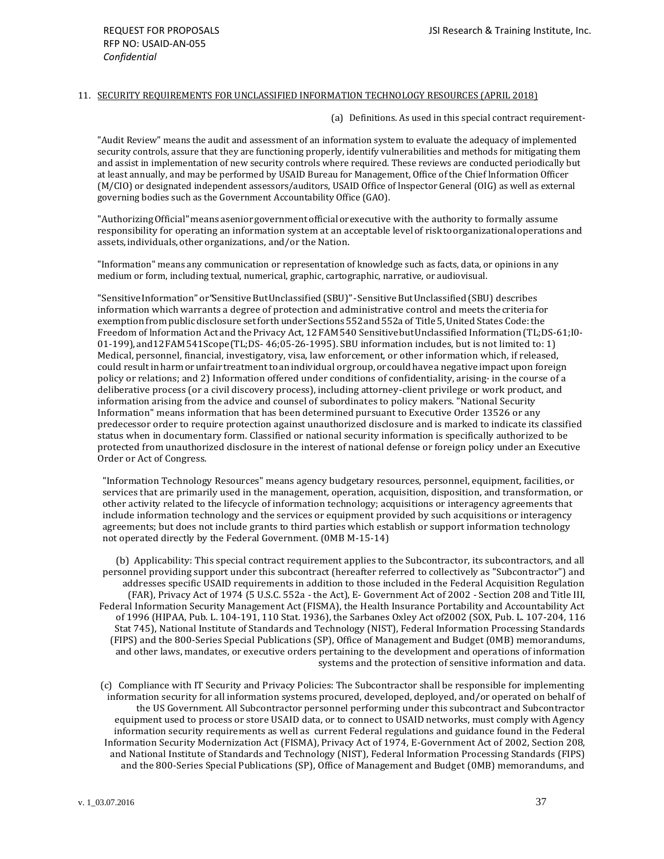### 11. SECURITY REQUIREMENTS FOR UNCLASSIFIED INFORMATION TECHNOLOGY RESOURCES (APRIL 2018)

(a) Definitions. As used in this special contract requirement-

"Audit Review" means the audit and assessment of an information system to evaluate the adequacy of implemented security controls, assure that they are functioning properly, identify vulnerabilities and methods for mitigating them and assist in implementation of new security controls where required. These reviews are conducted periodically but at least annually, and may be performed by USAID Bureau for Management, Office of the Chief lnformation Officer (M/CIO) or designated independent assessors/auditors, USAID Office of lnspector General (OIG) as well as external governing bodies such as the Government Accountability Office (GAO).

"AuthorizingOfficial"means aseniorgovernmentofficialorexecutive with the authority to formally assume responsibility for operating an information system at an acceptable levelof risktoorganizationaloperations and assets,individuals, otherorganizations, and/or the Nation.

"Information" means any communication or representation of knowledge such as facts, data, or opinions in any medium or form, including textual, numerical, graphic, cartographic, narrative, or audiovisual.

"SensitiveInformation" or"SensitiveButUnclassified (SBU)"-SensitiveButUnclassified(SBU) describes information which warrants a degree of protection and administrative control and meets thecriteria for exemption from public disclosure set forth under Sections 552 and 552a of Title 5, United States Code: the Freedom of Information Act and the Privacy Act, 12 FAM 540 Sensitive but Unclassified Information (TL;DS-61;I0-01-199),and12FAM541Scope(TL;DS- 46;05-26-1995). SBU information includes, but is not limited to: 1) Medical, personnel, financial, investigatory, visa, law enforcement, or other information which, if released, could resultinharmorunfair treatment toanindividual orgroup,orcouldhaveanegative impactupon foreign policy or relations; and 2) Information offered under conditions of confidentiality, arising· in the course of a deliberative process (or a civil discovery process), including attorney-client privilege or work product, and information arising from the advice and counsel of subordinates to policy makers. "National Security Information" means information that has been determined pursuant to Executive Order 13526 or any predecessor order to require protection against unauthorized disclosure and is marked to indicate its classified status when in documentary form. Classified or national security information is specifically authorized to be protected from unauthorized disclosure in the interest of national defense or foreign policy under an Executive Order or Act of Congress.

"Information Technology Resources" means agency budgetary resources, personnel, equipment, facilities, or services that are primarily used in the management, operation, acquisition, disposition, and transformation, or other activity related to the lifecycle of information technology; acquisitions or interagency agreements that include information technology and the services or equipment provided by such acquisitions or interagency agreements; but does not include grants to third parties which establish or support information technology not operated directly by the Federal Government. (0MB M-15-14)

(b) Applicability: This special contract requirement applies to the Subcontractor, its subcontractors, and all personnel providing support under this subcontract (hereafter referred to collectively as "Subcontractor") and addresses specific USAID requirements in addition to those included in the Federal Acquisition Regulation (FAR), Privacy Act of 1974 (5 U.S.C. 552a - the Act), E- Government Act of 2002 - Section 208 and Title III, Federal Information Security Management Act (FISMA), the Health Insurance Portability and Accountability Act of 1996 (HIPAA, Pub. L. 104-191, 110 Stat. 1936), the Sarbanes Oxley Act of2002 (SOX, Pub. L. 107-204, 116 Stat 745), National Institute of Standards and Technology (NIST), Federal Information Processing Standards (FIPS) and the 800-Series Special Publications (SP), Office of Management and Budget (0MB) memorandums, and other laws, mandates, or executive orders pertaining to the development and operations of information systems and the protection of sensitive information and data.

(c) Compliance with IT Security and Privacy Policies: The Subcontractor shall be responsible for implementing information security for all information systems procured, developed, deployed, and/or operated on behalf of the US Government. All Subcontractor personnel performing under this subcontract and Subcontractor equipment used to process or store USAID data, or to connect to USAID networks, must comply with Agency information security requirements as well as current Federal regulations and guidance found in the Federal Information Security Modernization Act (FISMA), Privacy Act of 1974, E-Government Act of 2002, Section 208, and National Institute of Standards and Technology (NIST), Federal Information Processing Standards (FIPS) and the 800-Series Special Publications (SP), Office of Management and Budget (0MB) memorandums, and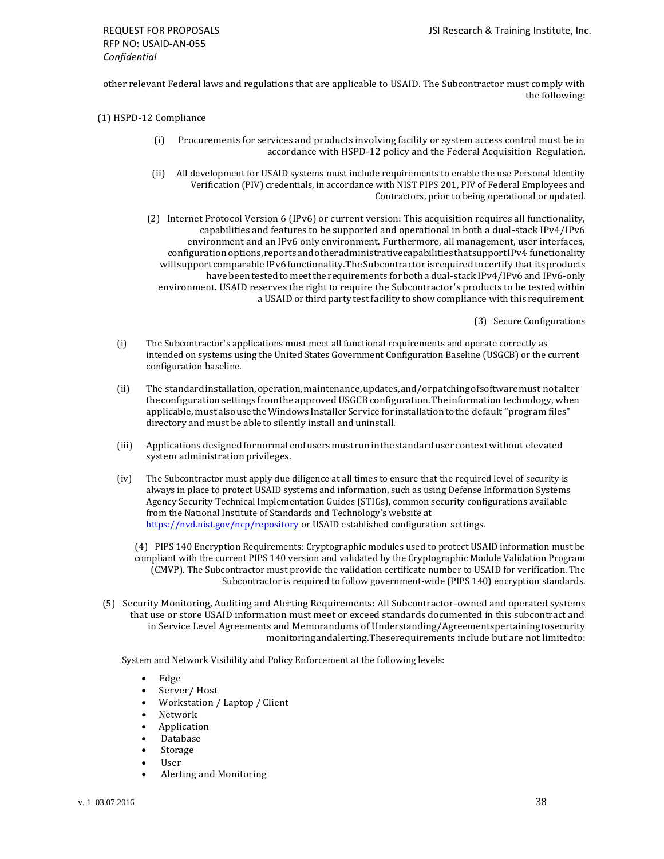other relevant Federal laws and regulations that are applicable to USAID. The Subcontractor must comply with the following:

(1) HSPD-12 Compliance

- (i) Procurements for services and products involving facility or system access control must be in accordance with HSPD-12 policy and the Federal Acquisition Regulation.
- (ii) All development for USAID systems must include requirements to enable the use Personal Identity Verification (PIV) credentials, in accordance with NIST PIPS 201, PIV of Federal Employees and Contractors, prior to being operational or updated.

(2) Internet Protocol Version 6 (IPv6) or current version: This acquisition requires all functionality, capabilities and features to be supported and operational in both a dual-stack IPv4/IPv6 environment and an IPv6 only environment. Furthermore, all management, user interfaces, configuration options,reportsandotheradministrativecapabilitiesthatsupportIPv4 functionality will support comparable IPv6 functionality. The Subcontractor is required to certify that its products have beentested tomeetthe requirements forbotha dual-stack IPv4/IPv6 and IPv6-only environment. USAID reserves the right to require the Subcontractor's products to be tested within a USAID or third party test facility to show compliance with this requirement.

(3) Secure Configurations

- (i) The Subcontractor's applications must meet all functional requirements and operate correctly as intended on systems using the United States Government Configuration Baseline (USGCB) or the current configuration baseline.
- (ii) The standardinstallation,operation,maintenance,updates,and/orpatchingofsoftwaremust not alter the configuration settings from the approved USGCB configuration. The information technology, when applicable, must also use the Windows Installer Service for installation to the default "program files" directory and must be able to silently install and uninstall.
- (iii) Applications designed fornormal endusersmustruninthestandardusercontextwithout elevated system administration privileges.
- (iv) The Subcontractor must apply due diligence at all times to ensure that the required level of security is always in place to protect USAID systems and information, such as using Defense Information Systems Agency Security Technical Implementation Guides (STIGs), common security configurations available from the National Institute of Standards and Technology's website at <https://nvd.nist.gov/ncp/repository> or USAID established configuration settings.

(4) PIPS 140 Encryption Requirements: Cryptographic modules used to protect USAID information must be compliant with the current PIPS 140 version and validated by the Cryptographic Module Validation Program (CMVP). The Subcontractor must provide the validation certificate number to USAID for verification. The Subcontractor is required to follow government-wide (PIPS 140) encryption standards.

(5) Security Monitoring, Auditing and Alerting Requirements: All Subcontractor-owned and operated systems that use or store USAID information must meet or exceed standards documented in this subcontract and in Service Level Agreements and Memorandums of Understanding/Agreementspertainingtosecurity monitoringandalerting.Theserequirements include but are not limitedto:

System and Network Visibility and Policy Enforcement at the following levels:

- Edge
- Server/Host
- Workstation / Laptop / Client
- Network
- Application
- Database
- Storage
- User
- Alerting and Monitoring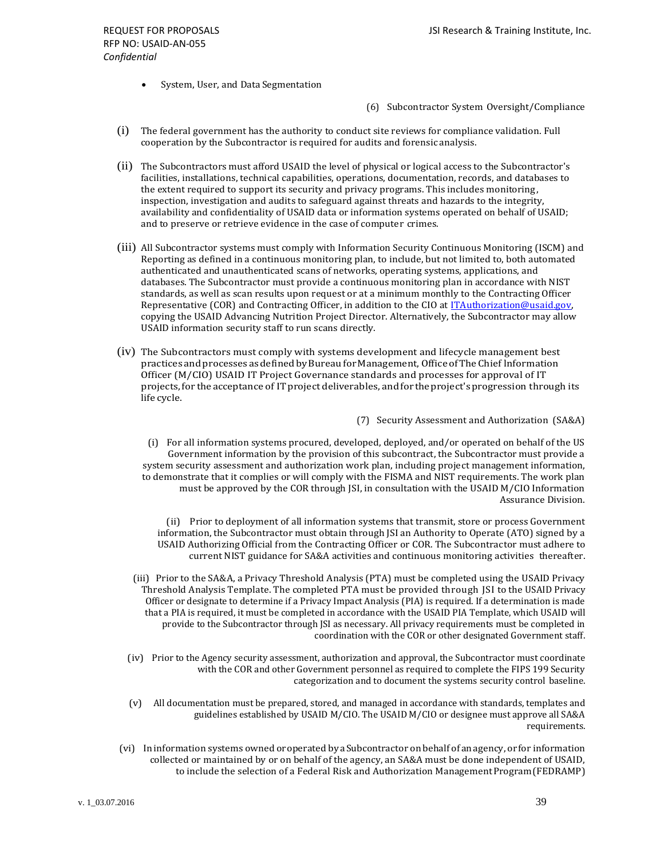• System, User, and Data Segmentation

(6) Subcontractor System Oversight/Compliance

- (i) The federal government has the authority to conduct site reviews for compliance validation. Full cooperation by the Subcontractor is required for audits and forensic analysis.
- (ii) The Subcontractors must afford USAID the level of physical or logical access to the Subcontractor's facilities, installations, technical capabilities, operations, documentation, records, and databases to the extent required to support its security and privacy programs. This includes monitoring, inspection, investigation and audits to safeguard against threats and hazards to the integrity, availability and confidentiality of USAID data or information systems operated on behalf of USAID; and to preserve or retrieve evidence in the case of computer crimes.
- (iii) All Subcontractor systems must comply with Information Security Continuous Monitoring (ISCM) and Reporting as defined in a continuous monitoring plan, to include, but not limited to, both automated authenticated and unauthenticated scans of networks, operating systems, applications, and databases. The Subcontractor must provide a continuous monitoring plan in accordance with NIST standards, as well as scan results upon request or at a minimum monthly to the Contracting Officer Representative (COR) and Contracting Officer, in addition to the CIO at [ITAuthorization@usaid.gov,](mailto:ITAuthorization@usaid.gov) copying the USAID Advancing Nutrition Project Director. Alternatively, the Subcontractor may allow USAID information security staff to run scans directly.
- (iv) The Subcontractors must comply with systems development and lifecycle management best practices andprocesses asdefined byBureau forManagement, Office ofTheChief lnformation Officer (M/CIO) USAID IT Project Governance standards and processes for approval of IT projects, for the acceptance of IT project deliverables, and for the project's progression through its life cycle.

(7) Security Assessment and Authorization (SA&A)

(i) For all information systems procured, developed, deployed, and/or operated on behalf of the US Government information by the provision of this subcontract, the Subcontractor must provide a system security assessment and authorization work plan, including project management information, to demonstrate that it complies or will comply with the FISMA and NIST requirements. The work plan must be approved by the COR through JSI, in consultation with the USAID M/CIO Information Assurance Division.

(ii) Prior to deployment of all information systems that transmit, store or process Government information, the Subcontractor must obtain through JSI an Authority to Operate (ATO) signed by a USAID Authorizing Official from the Contracting Officer or COR. The Subcontractor must adhere to current NIST guidance for SA&A activities and continuous monitoring activities thereafter.

(iii) Prior to the SA&A, a Privacy Threshold Analysis (PTA) must be completed using the USAID Privacy Threshold Analysis Template. The completed PTA must be provided through JSI to the USAID Privacy Officer or designate to determine if a Privacy Impact Analysis (PIA) is required. If a determination is made that a PIA is required, it must be completed in accordance with the USAID PIA Template, which USAID will provide to the Subcontractor through JSI as necessary. All privacy requirements must be completed in coordination with the COR or other designated Government staff.

(iv) Prior to the Agency security assessment, authorization and approval, the Subcontractor must coordinate with the COR and other Government personnel as required to complete the FIPS 199 Security categorization and to document the systems security control baseline.

- (v) All documentation must be prepared, stored, and managed in accordance with standards, templates and guidelines established by USAID M/CIO. The USAID M/CIO or designee must approve all SA&A requirements.
- (vi) Ininformation systems owned oroperated byaSubcontractor on behalf of anagency, orfor information collected or maintained by or on behalf of the agency, an SA&A must be done independent of USAID, to include the selection of a Federal Risk and Authorization Management Program (FEDRAMP)